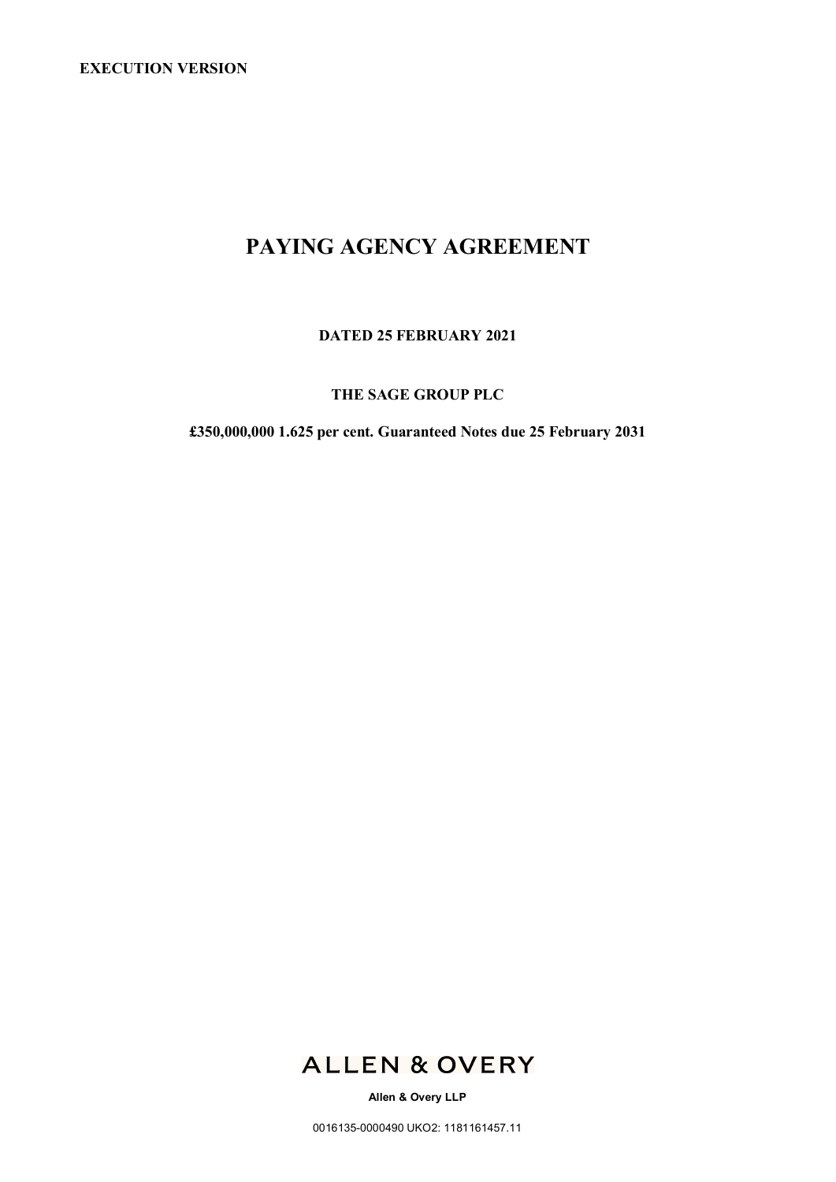# **PAYING AGENCY AGREEMENT**

**DATED 25 FEBRUARY 2021**

# **THE SAGE GROUP PLC**

**£350,000,000 1.625 per cent. Guaranteed Notes due 25 February 2031**



**Allen & Overy LLP**

0016135-0000490 UKO2: 1181161457.11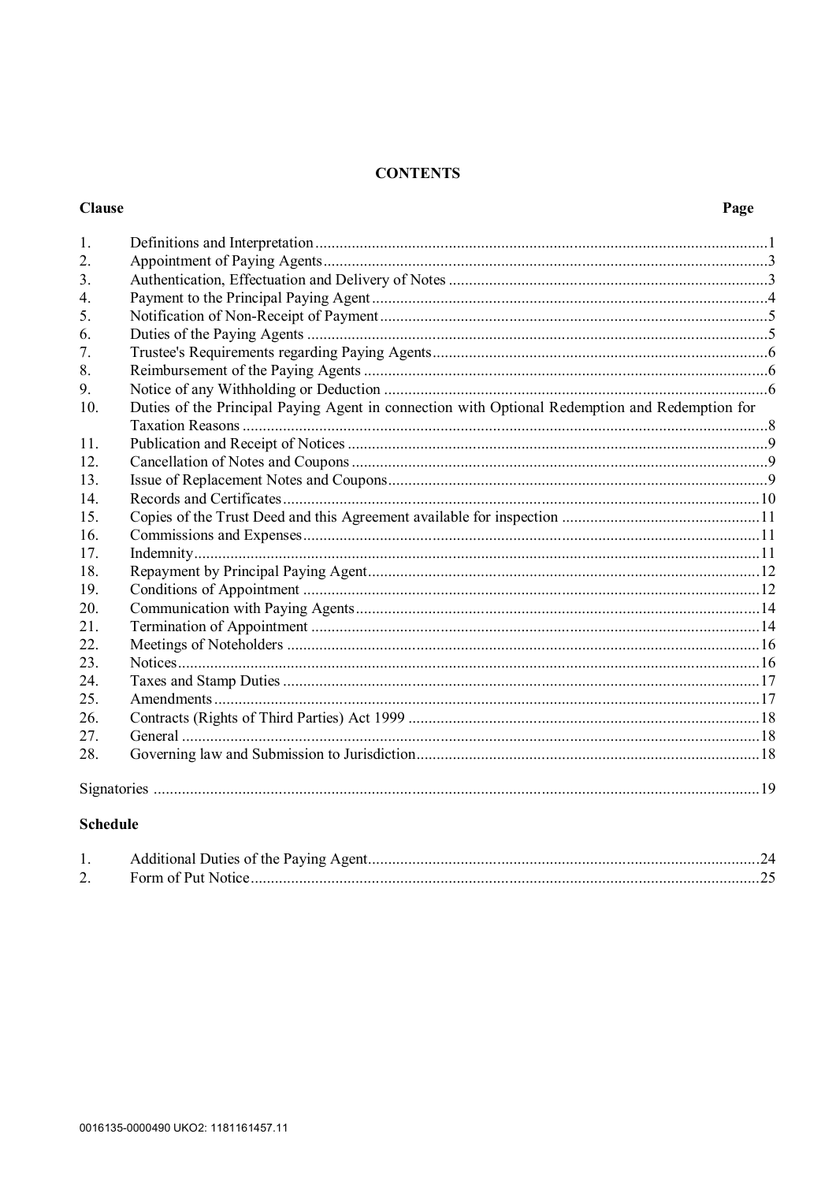# **CONTENTS**

# **Clause**

| 1.             |                                                                                                |  |  |  |  |
|----------------|------------------------------------------------------------------------------------------------|--|--|--|--|
| 2.             |                                                                                                |  |  |  |  |
| 3 <sub>1</sub> |                                                                                                |  |  |  |  |
| 4.             |                                                                                                |  |  |  |  |
| 5.             |                                                                                                |  |  |  |  |
| 6.             |                                                                                                |  |  |  |  |
| 7.             |                                                                                                |  |  |  |  |
| 8.             |                                                                                                |  |  |  |  |
| 9.             |                                                                                                |  |  |  |  |
| 10.            | Duties of the Principal Paying Agent in connection with Optional Redemption and Redemption for |  |  |  |  |
|                |                                                                                                |  |  |  |  |
| 11.            |                                                                                                |  |  |  |  |
| 12.            |                                                                                                |  |  |  |  |
| 13.            |                                                                                                |  |  |  |  |
| 14.            |                                                                                                |  |  |  |  |
| 15.            |                                                                                                |  |  |  |  |
| 16.            |                                                                                                |  |  |  |  |
| 17.            |                                                                                                |  |  |  |  |
| 18.            |                                                                                                |  |  |  |  |
| 19.            |                                                                                                |  |  |  |  |
| 20.            |                                                                                                |  |  |  |  |
| 21.            |                                                                                                |  |  |  |  |
| 22.            |                                                                                                |  |  |  |  |
| 23.            |                                                                                                |  |  |  |  |
| 24.            |                                                                                                |  |  |  |  |
| 25.            |                                                                                                |  |  |  |  |
| 26.            |                                                                                                |  |  |  |  |
| 27.            |                                                                                                |  |  |  |  |
| 28.            |                                                                                                |  |  |  |  |
|                |                                                                                                |  |  |  |  |
|                |                                                                                                |  |  |  |  |

# **Schedule**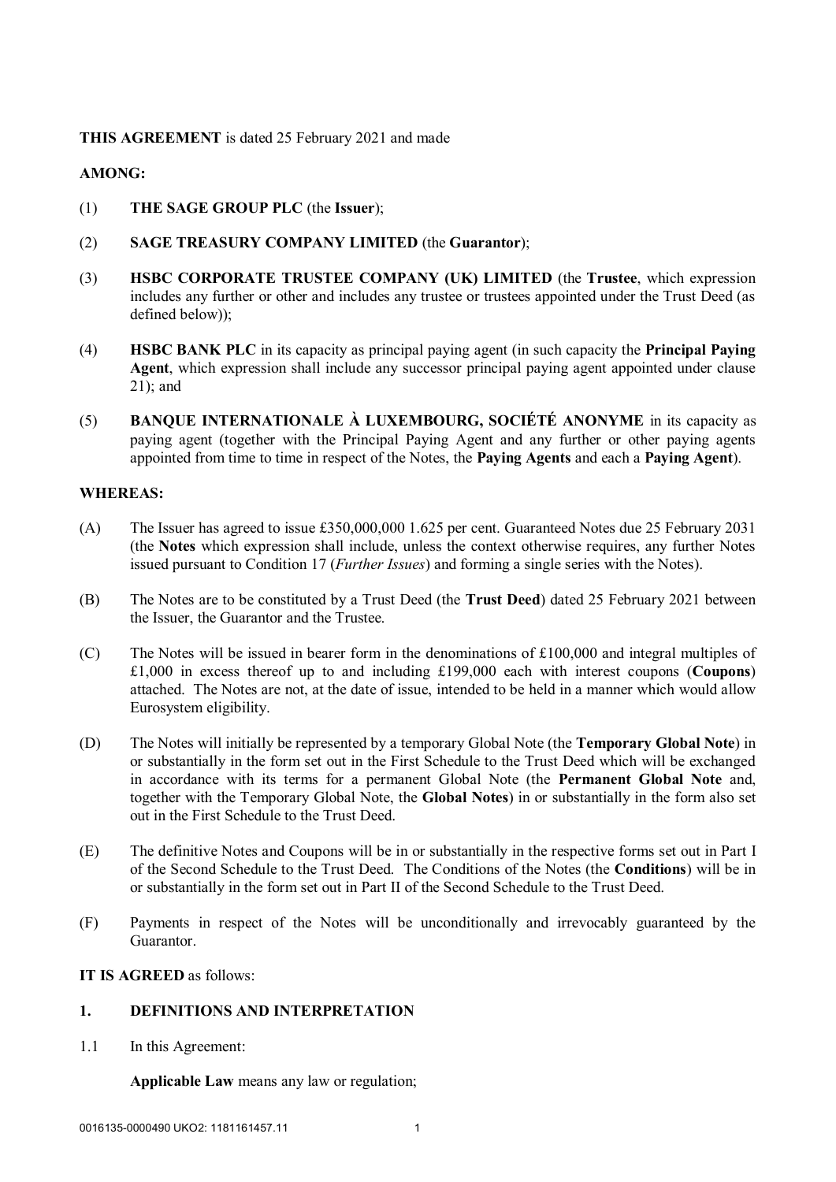# **THIS AGREEMENT** is dated 25 February 2021 and made

# **AMONG:**

- (1) **THE SAGE GROUP PLC** (the **Issuer**);
- (2) **SAGE TREASURY COMPANY LIMITED** (the **Guarantor**);
- (3) **HSBC CORPORATE TRUSTEE COMPANY (UK) LIMITED** (the **Trustee**, which expression includes any further or other and includes any trustee or trustees appointed under the Trust Deed (as defined below));
- (4) **HSBC BANK PLC** in its capacity as principal paying agent (in such capacity the **Principal Paying Agent**, which expression shall include any successor principal paying agent appointed under clause 21); and
- (5) **BANQUE INTERNATIONALE À LUXEMBOURG, SOCIÉTÉ ANONYME** in its capacity as paying agent (together with the Principal Paying Agent and any further or other paying agents appointed from time to time in respect of the Notes, the **Paying Agents** and each a **Paying Agent**).

#### **WHEREAS:**

- (A) The Issuer has agreed to issue £350,000,000 1.625 per cent. Guaranteed Notes due 25 February 2031 (the **Notes** which expression shall include, unless the context otherwise requires, any further Notes issued pursuant to Condition 17 (*Further Issues*) and forming a single series with the Notes).
- (B) The Notes are to be constituted by a Trust Deed (the **Trust Deed**) dated 25 February 2021 between the Issuer, the Guarantor and the Trustee.
- (C) The Notes will be issued in bearer form in the denominations of £100,000 and integral multiples of £1,000 in excess thereof up to and including £199,000 each with interest coupons (**Coupons**) attached. The Notes are not, at the date of issue, intended to be held in a manner which would allow Eurosystem eligibility.
- (D) The Notes will initially be represented by a temporary Global Note (the **Temporary Global Note**) in or substantially in the form set out in the First Schedule to the Trust Deed which will be exchanged in accordance with its terms for a permanent Global Note (the **Permanent Global Note** and, together with the Temporary Global Note, the **Global Notes**) in or substantially in the form also set out in the First Schedule to the Trust Deed.
- (E) The definitive Notes and Coupons will be in or substantially in the respective forms set out in Part I of the Second Schedule to the Trust Deed. The Conditions of the Notes (the **Conditions**) will be in or substantially in the form set out in Part II of the Second Schedule to the Trust Deed.
- (F) Payments in respect of the Notes will be unconditionally and irrevocably guaranteed by the Guarantor.

# **IT IS AGREED** as follows:

# **1. DEFINITIONS AND INTERPRETATION**

1.1 In this Agreement:

**Applicable Law** means any law or regulation;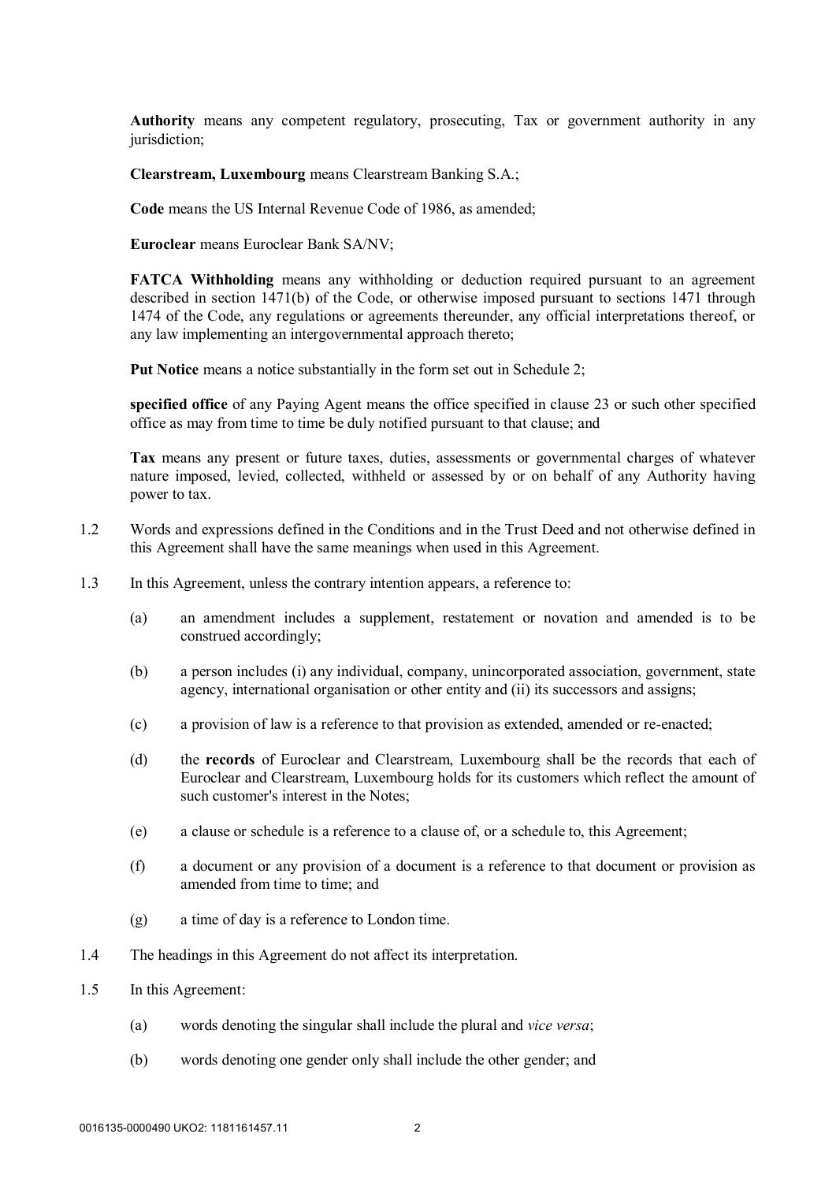**Authority** means any competent regulatory, prosecuting, Tax or government authority in any jurisdiction;

**Clearstream, Luxembourg** means Clearstream Banking S.A.;

**Code** means the US Internal Revenue Code of 1986, as amended;

**Euroclear** means Euroclear Bank SA/NV;

**FATCA Withholding** means any withholding or deduction required pursuant to an agreement described in section 1471(b) of the Code, or otherwise imposed pursuant to sections 1471 through 1474 of the Code, any regulations or agreements thereunder, any official interpretations thereof, or any law implementing an intergovernmental approach thereto;

**Put Notice** means a notice substantially in the form set out in Schedule 2;

**specified office** of any Paying Agent means the office specified in clause 23 or such other specified office as may from time to time be duly notified pursuant to that clause; and

**Tax** means any present or future taxes, duties, assessments or governmental charges of whatever nature imposed, levied, collected, withheld or assessed by or on behalf of any Authority having power to tax.

- 1.2 Words and expressions defined in the Conditions and in the Trust Deed and not otherwise defined in this Agreement shall have the same meanings when used in this Agreement.
- 1.3 In this Agreement, unless the contrary intention appears, a reference to:
	- (a) an amendment includes a supplement, restatement or novation and amended is to be construed accordingly;
	- (b) a person includes (i) any individual, company, unincorporated association, government, state agency, international organisation or other entity and (ii) its successors and assigns;
	- (c) a provision of law is a reference to that provision as extended, amended or re-enacted;
	- (d) the **records** of Euroclear and Clearstream, Luxembourg shall be the records that each of Euroclear and Clearstream, Luxembourg holds for its customers which reflect the amount of such customer's interest in the Notes:
	- (e) a clause or schedule is a reference to a clause of, or a schedule to, this Agreement;
	- (f) a document or any provision of a document is a reference to that document or provision as amended from time to time; and
	- (g) a time of day is a reference to London time.
- 1.4 The headings in this Agreement do not affect its interpretation.
- 1.5 In this Agreement:
	- (a) words denoting the singular shall include the plural and *vice versa*;
	- (b) words denoting one gender only shall include the other gender; and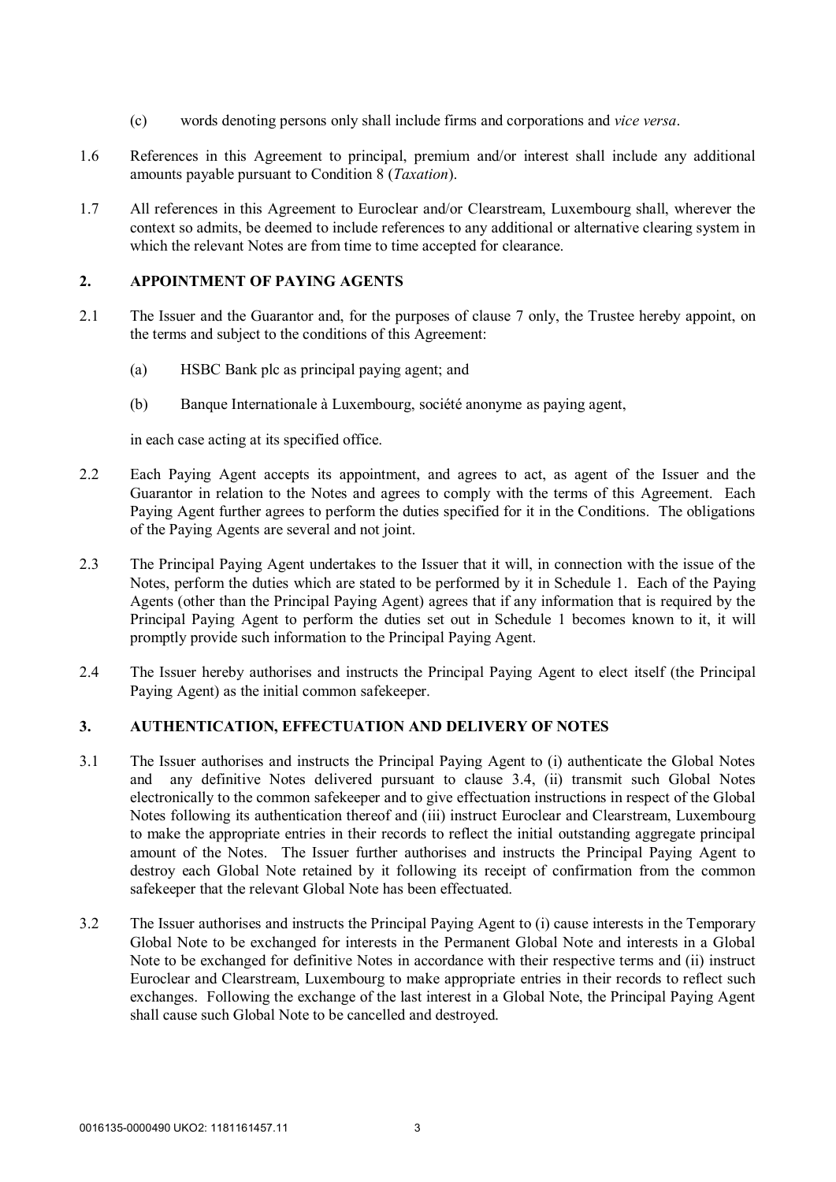- (c) words denoting persons only shall include firms and corporations and *vice versa*.
- 1.6 References in this Agreement to principal, premium and/or interest shall include any additional amounts payable pursuant to Condition 8 (*Taxation*).
- 1.7 All references in this Agreement to Euroclear and/or Clearstream, Luxembourg shall, wherever the context so admits, be deemed to include references to any additional or alternative clearing system in which the relevant Notes are from time to time accepted for clearance.

#### **2. APPOINTMENT OF PAYING AGENTS**

- 2.1 The Issuer and the Guarantor and, for the purposes of clause 7 only, the Trustee hereby appoint, on the terms and subject to the conditions of this Agreement:
	- (a) HSBC Bank plc as principal paying agent; and
	- (b) Banque Internationale à Luxembourg, société anonyme as paying agent,

in each case acting at its specified office.

- 2.2 Each Paying Agent accepts its appointment, and agrees to act, as agent of the Issuer and the Guarantor in relation to the Notes and agrees to comply with the terms of this Agreement. Each Paying Agent further agrees to perform the duties specified for it in the Conditions. The obligations of the Paying Agents are several and not joint.
- 2.3 The Principal Paying Agent undertakes to the Issuer that it will, in connection with the issue of the Notes, perform the duties which are stated to be performed by it in Schedule 1. Each of the Paying Agents (other than the Principal Paying Agent) agrees that if any information that is required by the Principal Paying Agent to perform the duties set out in Schedule 1 becomes known to it, it will promptly provide such information to the Principal Paying Agent.
- 2.4 The Issuer hereby authorises and instructs the Principal Paying Agent to elect itself (the Principal Paying Agent) as the initial common safekeeper.

# **3. AUTHENTICATION, EFFECTUATION AND DELIVERY OF NOTES**

- 3.1 The Issuer authorises and instructs the Principal Paying Agent to (i) authenticate the Global Notes and any definitive Notes delivered pursuant to clause 3.4, (ii) transmit such Global Notes electronically to the common safekeeper and to give effectuation instructions in respect of the Global Notes following its authentication thereof and (iii) instruct Euroclear and Clearstream, Luxembourg to make the appropriate entries in their records to reflect the initial outstanding aggregate principal amount of the Notes. The Issuer further authorises and instructs the Principal Paying Agent to destroy each Global Note retained by it following its receipt of confirmation from the common safekeeper that the relevant Global Note has been effectuated.
- 3.2 The Issuer authorises and instructs the Principal Paying Agent to (i) cause interests in the Temporary Global Note to be exchanged for interests in the Permanent Global Note and interests in a Global Note to be exchanged for definitive Notes in accordance with their respective terms and (ii) instruct Euroclear and Clearstream, Luxembourg to make appropriate entries in their records to reflect such exchanges. Following the exchange of the last interest in a Global Note, the Principal Paying Agent shall cause such Global Note to be cancelled and destroyed.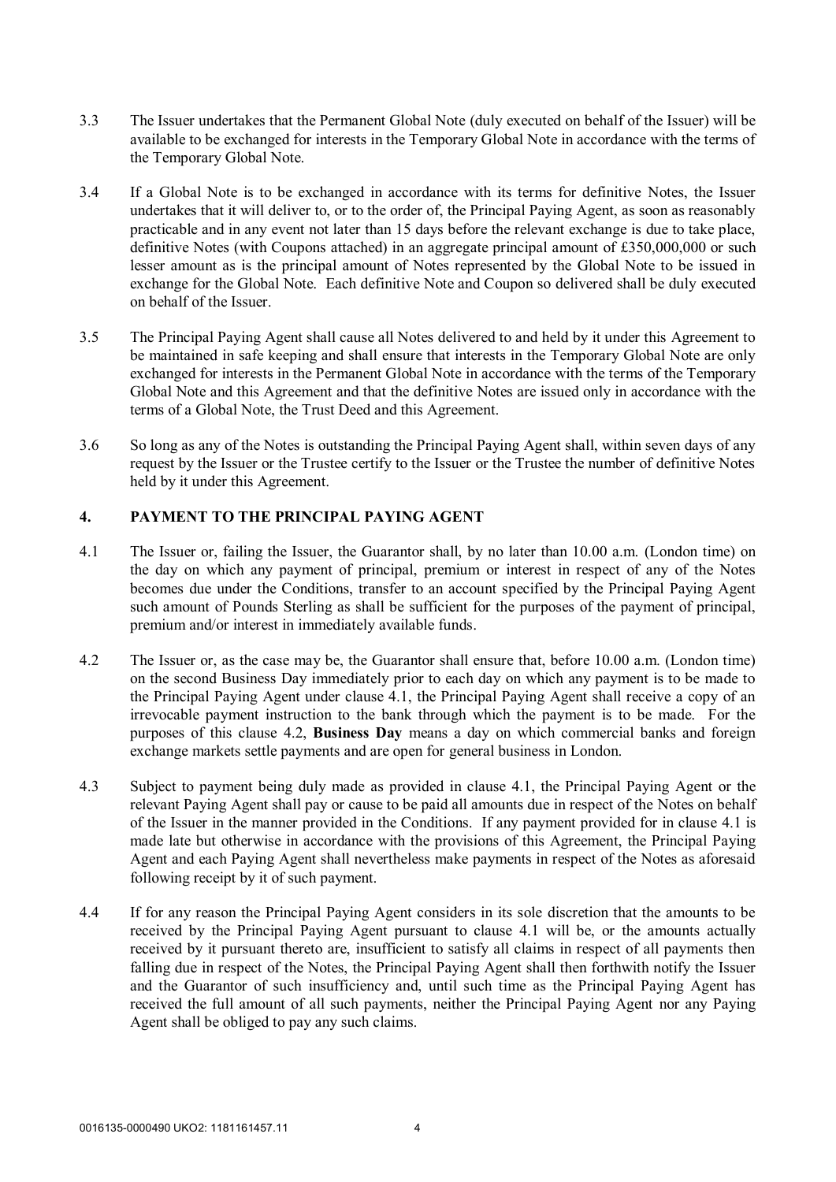- 3.3 The Issuer undertakes that the Permanent Global Note (duly executed on behalf of the Issuer) will be available to be exchanged for interests in the Temporary Global Note in accordance with the terms of the Temporary Global Note.
- 3.4 If a Global Note is to be exchanged in accordance with its terms for definitive Notes, the Issuer undertakes that it will deliver to, or to the order of, the Principal Paying Agent, as soon as reasonably practicable and in any event not later than 15 days before the relevant exchange is due to take place, definitive Notes (with Coupons attached) in an aggregate principal amount of £350,000,000 or such lesser amount as is the principal amount of Notes represented by the Global Note to be issued in exchange for the Global Note. Each definitive Note and Coupon so delivered shall be duly executed on behalf of the Issuer.
- 3.5 The Principal Paying Agent shall cause all Notes delivered to and held by it under this Agreement to be maintained in safe keeping and shall ensure that interests in the Temporary Global Note are only exchanged for interests in the Permanent Global Note in accordance with the terms of the Temporary Global Note and this Agreement and that the definitive Notes are issued only in accordance with the terms of a Global Note, the Trust Deed and this Agreement.
- 3.6 So long as any of the Notes is outstanding the Principal Paying Agent shall, within seven days of any request by the Issuer or the Trustee certify to the Issuer or the Trustee the number of definitive Notes held by it under this Agreement.

# **4. PAYMENT TO THE PRINCIPAL PAYING AGENT**

- 4.1 The Issuer or, failing the Issuer, the Guarantor shall, by no later than 10.00 a.m. (London time) on the day on which any payment of principal, premium or interest in respect of any of the Notes becomes due under the Conditions, transfer to an account specified by the Principal Paying Agent such amount of Pounds Sterling as shall be sufficient for the purposes of the payment of principal, premium and/or interest in immediately available funds.
- 4.2 The Issuer or, as the case may be, the Guarantor shall ensure that, before 10.00 a.m. (London time) on the second Business Day immediately prior to each day on which any payment is to be made to the Principal Paying Agent under clause 4.1, the Principal Paying Agent shall receive a copy of an irrevocable payment instruction to the bank through which the payment is to be made. For the purposes of this clause 4.2, **Business Day** means a day on which commercial banks and foreign exchange markets settle payments and are open for general business in London.
- 4.3 Subject to payment being duly made as provided in clause 4.1, the Principal Paying Agent or the relevant Paying Agent shall pay or cause to be paid all amounts due in respect of the Notes on behalf of the Issuer in the manner provided in the Conditions. If any payment provided for in clause 4.1 is made late but otherwise in accordance with the provisions of this Agreement, the Principal Paying Agent and each Paying Agent shall nevertheless make payments in respect of the Notes as aforesaid following receipt by it of such payment.
- 4.4 If for any reason the Principal Paying Agent considers in its sole discretion that the amounts to be received by the Principal Paying Agent pursuant to clause 4.1 will be, or the amounts actually received by it pursuant thereto are, insufficient to satisfy all claims in respect of all payments then falling due in respect of the Notes, the Principal Paying Agent shall then forthwith notify the Issuer and the Guarantor of such insufficiency and, until such time as the Principal Paying Agent has received the full amount of all such payments, neither the Principal Paying Agent nor any Paying Agent shall be obliged to pay any such claims.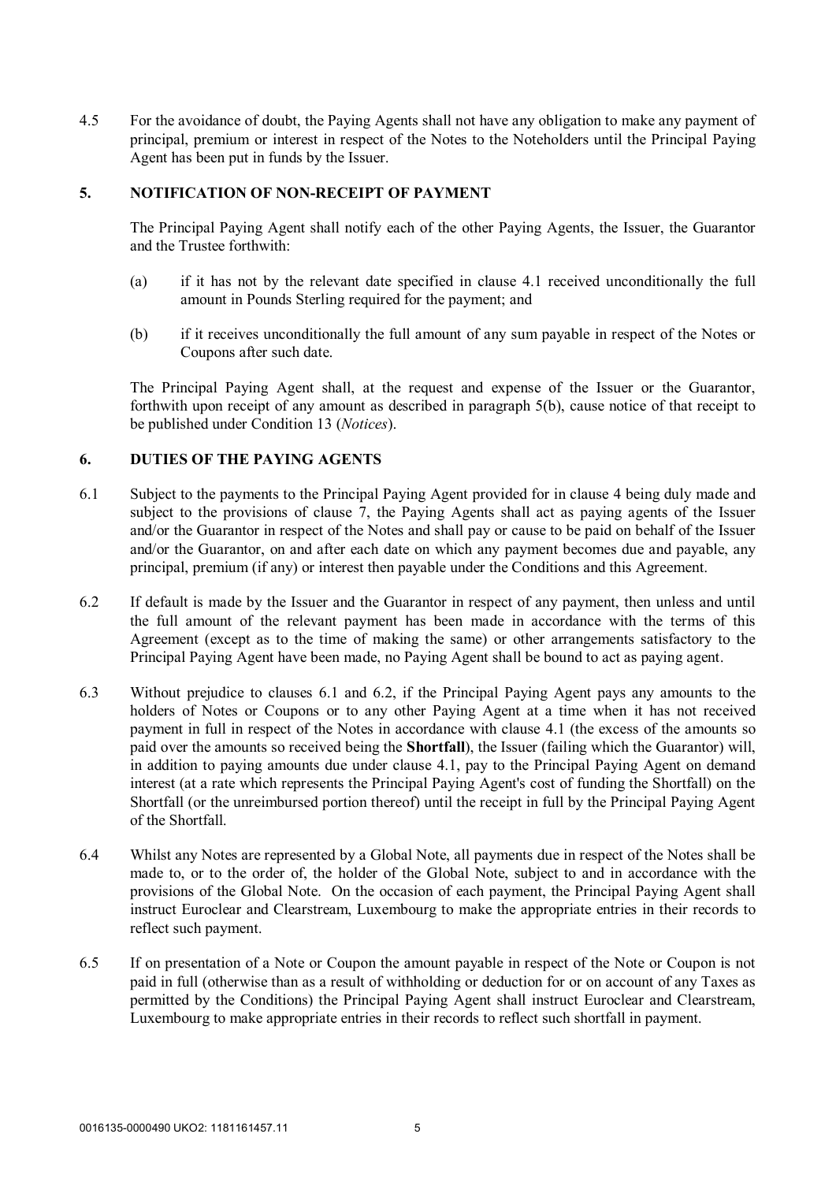4.5 For the avoidance of doubt, the Paying Agents shall not have any obligation to make any payment of principal, premium or interest in respect of the Notes to the Noteholders until the Principal Paying Agent has been put in funds by the Issuer.

# **5. NOTIFICATION OF NON-RECEIPT OF PAYMENT**

The Principal Paying Agent shall notify each of the other Paying Agents, the Issuer, the Guarantor and the Trustee forthwith:

- (a) if it has not by the relevant date specified in clause 4.1 received unconditionally the full amount in Pounds Sterling required for the payment; and
- (b) if it receives unconditionally the full amount of any sum payable in respect of the Notes or Coupons after such date.

The Principal Paying Agent shall, at the request and expense of the Issuer or the Guarantor, forthwith upon receipt of any amount as described in paragraph 5(b), cause notice of that receipt to be published under Condition 13 (*Notices*).

# **6. DUTIES OF THE PAYING AGENTS**

- 6.1 Subject to the payments to the Principal Paying Agent provided for in clause 4 being duly made and subject to the provisions of clause 7, the Paying Agents shall act as paying agents of the Issuer and/or the Guarantor in respect of the Notes and shall pay or cause to be paid on behalf of the Issuer and/or the Guarantor, on and after each date on which any payment becomes due and payable, any principal, premium (if any) or interest then payable under the Conditions and this Agreement.
- 6.2 If default is made by the Issuer and the Guarantor in respect of any payment, then unless and until the full amount of the relevant payment has been made in accordance with the terms of this Agreement (except as to the time of making the same) or other arrangements satisfactory to the Principal Paying Agent have been made, no Paying Agent shall be bound to act as paying agent.
- 6.3 Without prejudice to clauses 6.1 and 6.2, if the Principal Paying Agent pays any amounts to the holders of Notes or Coupons or to any other Paying Agent at a time when it has not received payment in full in respect of the Notes in accordance with clause 4.1 (the excess of the amounts so paid over the amounts so received being the **Shortfall**), the Issuer (failing which the Guarantor) will, in addition to paying amounts due under clause 4.1, pay to the Principal Paying Agent on demand interest (at a rate which represents the Principal Paying Agent's cost of funding the Shortfall) on the Shortfall (or the unreimbursed portion thereof) until the receipt in full by the Principal Paying Agent of the Shortfall.
- 6.4 Whilst any Notes are represented by a Global Note, all payments due in respect of the Notes shall be made to, or to the order of, the holder of the Global Note, subject to and in accordance with the provisions of the Global Note. On the occasion of each payment, the Principal Paying Agent shall instruct Euroclear and Clearstream, Luxembourg to make the appropriate entries in their records to reflect such payment.
- 6.5 If on presentation of a Note or Coupon the amount payable in respect of the Note or Coupon is not paid in full (otherwise than as a result of withholding or deduction for or on account of any Taxes as permitted by the Conditions) the Principal Paying Agent shall instruct Euroclear and Clearstream, Luxembourg to make appropriate entries in their records to reflect such shortfall in payment.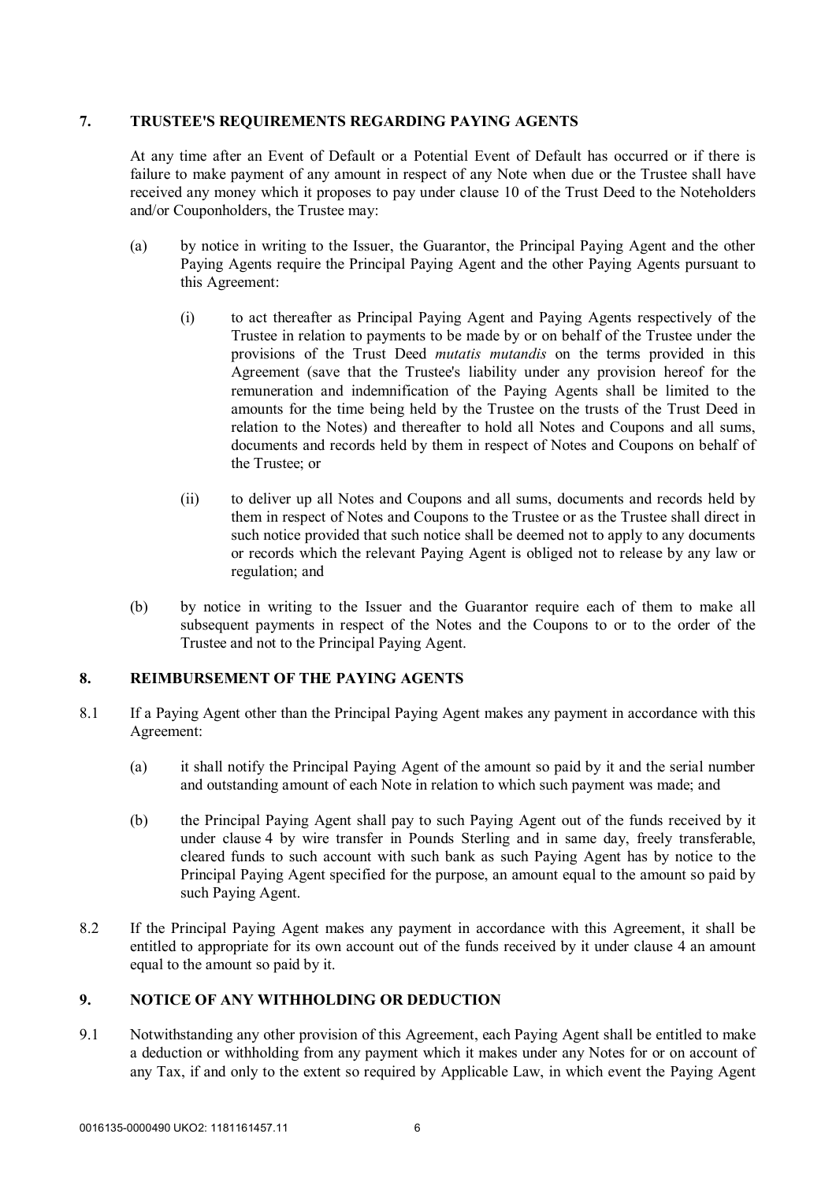# **7. TRUSTEE'S REQUIREMENTS REGARDING PAYING AGENTS**

At any time after an Event of Default or a Potential Event of Default has occurred or if there is failure to make payment of any amount in respect of any Note when due or the Trustee shall have received any money which it proposes to pay under clause 10 of the Trust Deed to the Noteholders and/or Couponholders, the Trustee may:

- (a) by notice in writing to the Issuer, the Guarantor, the Principal Paying Agent and the other Paying Agents require the Principal Paying Agent and the other Paying Agents pursuant to this Agreement:
	- (i) to act thereafter as Principal Paying Agent and Paying Agents respectively of the Trustee in relation to payments to be made by or on behalf of the Trustee under the provisions of the Trust Deed *mutatis mutandis* on the terms provided in this Agreement (save that the Trustee's liability under any provision hereof for the remuneration and indemnification of the Paying Agents shall be limited to the amounts for the time being held by the Trustee on the trusts of the Trust Deed in relation to the Notes) and thereafter to hold all Notes and Coupons and all sums, documents and records held by them in respect of Notes and Coupons on behalf of the Trustee; or
	- (ii) to deliver up all Notes and Coupons and all sums, documents and records held by them in respect of Notes and Coupons to the Trustee or as the Trustee shall direct in such notice provided that such notice shall be deemed not to apply to any documents or records which the relevant Paying Agent is obliged not to release by any law or regulation; and
- (b) by notice in writing to the Issuer and the Guarantor require each of them to make all subsequent payments in respect of the Notes and the Coupons to or to the order of the Trustee and not to the Principal Paying Agent.

# **8. REIMBURSEMENT OF THE PAYING AGENTS**

- 8.1 If a Paying Agent other than the Principal Paying Agent makes any payment in accordance with this Agreement:
	- (a) it shall notify the Principal Paying Agent of the amount so paid by it and the serial number and outstanding amount of each Note in relation to which such payment was made; and
	- (b) the Principal Paying Agent shall pay to such Paying Agent out of the funds received by it under clause 4 by wire transfer in Pounds Sterling and in same day, freely transferable, cleared funds to such account with such bank as such Paying Agent has by notice to the Principal Paying Agent specified for the purpose, an amount equal to the amount so paid by such Paying Agent.
- 8.2 If the Principal Paying Agent makes any payment in accordance with this Agreement, it shall be entitled to appropriate for its own account out of the funds received by it under clause 4 an amount equal to the amount so paid by it.

# **9. NOTICE OF ANY WITHHOLDING OR DEDUCTION**

9.1 Notwithstanding any other provision of this Agreement, each Paying Agent shall be entitled to make a deduction or withholding from any payment which it makes under any Notes for or on account of any Tax, if and only to the extent so required by Applicable Law, in which event the Paying Agent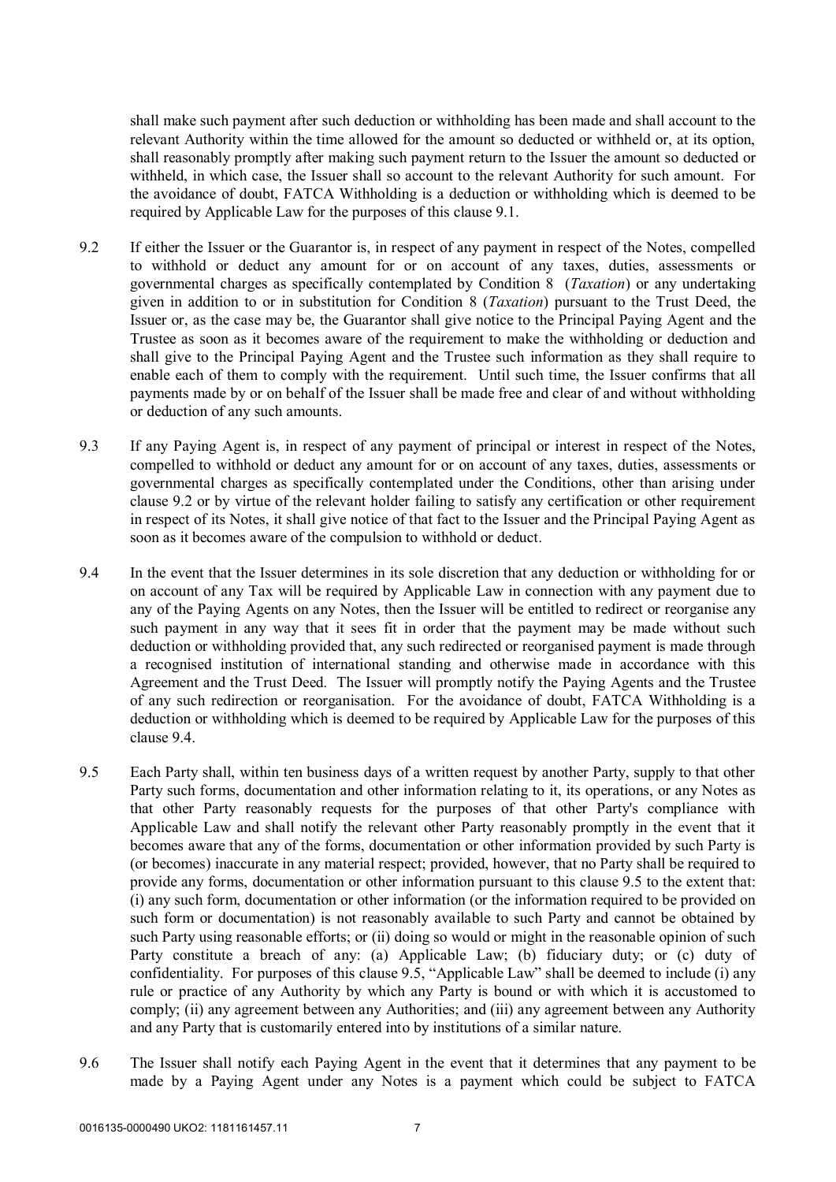shall make such payment after such deduction or withholding has been made and shall account to the relevant Authority within the time allowed for the amount so deducted or withheld or, at its option, shall reasonably promptly after making such payment return to the Issuer the amount so deducted or withheld, in which case, the Issuer shall so account to the relevant Authority for such amount. For the avoidance of doubt, FATCA Withholding is a deduction or withholding which is deemed to be required by Applicable Law for the purposes of this clause 9.1.

- 9.2 If either the Issuer or the Guarantor is, in respect of any payment in respect of the Notes, compelled to withhold or deduct any amount for or on account of any taxes, duties, assessments or governmental charges as specifically contemplated by Condition 8 (*Taxation*) or any undertaking given in addition to or in substitution for Condition 8 (*Taxation*) pursuant to the Trust Deed, the Issuer or, as the case may be, the Guarantor shall give notice to the Principal Paying Agent and the Trustee as soon as it becomes aware of the requirement to make the withholding or deduction and shall give to the Principal Paying Agent and the Trustee such information as they shall require to enable each of them to comply with the requirement. Until such time, the Issuer confirms that all payments made by or on behalf of the Issuer shall be made free and clear of and without withholding or deduction of any such amounts.
- 9.3 If any Paying Agent is, in respect of any payment of principal or interest in respect of the Notes, compelled to withhold or deduct any amount for or on account of any taxes, duties, assessments or governmental charges as specifically contemplated under the Conditions, other than arising under clause 9.2 or by virtue of the relevant holder failing to satisfy any certification or other requirement in respect of its Notes, it shall give notice of that fact to the Issuer and the Principal Paying Agent as soon as it becomes aware of the compulsion to withhold or deduct.
- 9.4 In the event that the Issuer determines in its sole discretion that any deduction or withholding for or on account of any Tax will be required by Applicable Law in connection with any payment due to any of the Paying Agents on any Notes, then the Issuer will be entitled to redirect or reorganise any such payment in any way that it sees fit in order that the payment may be made without such deduction or withholding provided that, any such redirected or reorganised payment is made through a recognised institution of international standing and otherwise made in accordance with this Agreement and the Trust Deed. The Issuer will promptly notify the Paying Agents and the Trustee of any such redirection or reorganisation. For the avoidance of doubt, FATCA Withholding is a deduction or withholding which is deemed to be required by Applicable Law for the purposes of this clause 9.4.
- 9.5 Each Party shall, within ten business days of a written request by another Party, supply to that other Party such forms, documentation and other information relating to it, its operations, or any Notes as that other Party reasonably requests for the purposes of that other Party's compliance with Applicable Law and shall notify the relevant other Party reasonably promptly in the event that it becomes aware that any of the forms, documentation or other information provided by such Party is (or becomes) inaccurate in any material respect; provided, however, that no Party shall be required to provide any forms, documentation or other information pursuant to this clause 9.5 to the extent that: (i) any such form, documentation or other information (or the information required to be provided on such form or documentation) is not reasonably available to such Party and cannot be obtained by such Party using reasonable efforts; or (ii) doing so would or might in the reasonable opinion of such Party constitute a breach of any: (a) Applicable Law; (b) fiduciary duty; or (c) duty of confidentiality. For purposes of this clause 9.5, "Applicable Law" shall be deemed to include (i) any rule or practice of any Authority by which any Party is bound or with which it is accustomed to comply; (ii) any agreement between any Authorities; and (iii) any agreement between any Authority and any Party that is customarily entered into by institutions of a similar nature.
- 9.6 The Issuer shall notify each Paying Agent in the event that it determines that any payment to be made by a Paying Agent under any Notes is a payment which could be subject to FATCA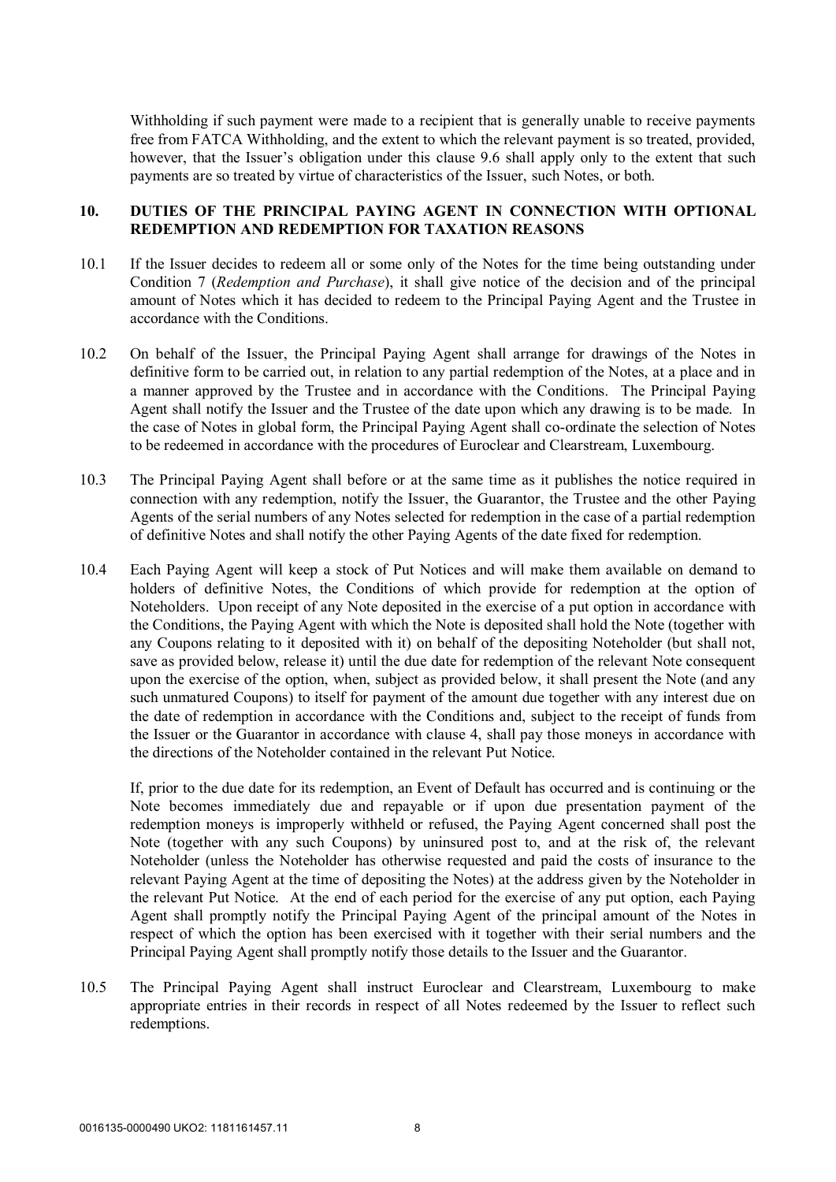Withholding if such payment were made to a recipient that is generally unable to receive payments free from FATCA Withholding, and the extent to which the relevant payment is so treated, provided, however, that the Issuer's obligation under this clause 9.6 shall apply only to the extent that such payments are so treated by virtue of characteristics of the Issuer, such Notes, or both.

# **10. DUTIES OF THE PRINCIPAL PAYING AGENT IN CONNECTION WITH OPTIONAL REDEMPTION AND REDEMPTION FOR TAXATION REASONS**

- 10.1 If the Issuer decides to redeem all or some only of the Notes for the time being outstanding under Condition 7 (*Redemption and Purchase*), it shall give notice of the decision and of the principal amount of Notes which it has decided to redeem to the Principal Paying Agent and the Trustee in accordance with the Conditions.
- 10.2 On behalf of the Issuer, the Principal Paying Agent shall arrange for drawings of the Notes in definitive form to be carried out, in relation to any partial redemption of the Notes, at a place and in a manner approved by the Trustee and in accordance with the Conditions. The Principal Paying Agent shall notify the Issuer and the Trustee of the date upon which any drawing is to be made. In the case of Notes in global form, the Principal Paying Agent shall co-ordinate the selection of Notes to be redeemed in accordance with the procedures of Euroclear and Clearstream, Luxembourg.
- 10.3 The Principal Paying Agent shall before or at the same time as it publishes the notice required in connection with any redemption, notify the Issuer, the Guarantor, the Trustee and the other Paying Agents of the serial numbers of any Notes selected for redemption in the case of a partial redemption of definitive Notes and shall notify the other Paying Agents of the date fixed for redemption.
- 10.4 Each Paying Agent will keep a stock of Put Notices and will make them available on demand to holders of definitive Notes, the Conditions of which provide for redemption at the option of Noteholders. Upon receipt of any Note deposited in the exercise of a put option in accordance with the Conditions, the Paying Agent with which the Note is deposited shall hold the Note (together with any Coupons relating to it deposited with it) on behalf of the depositing Noteholder (but shall not, save as provided below, release it) until the due date for redemption of the relevant Note consequent upon the exercise of the option, when, subject as provided below, it shall present the Note (and any such unmatured Coupons) to itself for payment of the amount due together with any interest due on the date of redemption in accordance with the Conditions and, subject to the receipt of funds from the Issuer or the Guarantor in accordance with clause 4, shall pay those moneys in accordance with the directions of the Noteholder contained in the relevant Put Notice.

If, prior to the due date for its redemption, an Event of Default has occurred and is continuing or the Note becomes immediately due and repayable or if upon due presentation payment of the redemption moneys is improperly withheld or refused, the Paying Agent concerned shall post the Note (together with any such Coupons) by uninsured post to, and at the risk of, the relevant Noteholder (unless the Noteholder has otherwise requested and paid the costs of insurance to the relevant Paying Agent at the time of depositing the Notes) at the address given by the Noteholder in the relevant Put Notice. At the end of each period for the exercise of any put option, each Paying Agent shall promptly notify the Principal Paying Agent of the principal amount of the Notes in respect of which the option has been exercised with it together with their serial numbers and the Principal Paying Agent shall promptly notify those details to the Issuer and the Guarantor.

10.5 The Principal Paying Agent shall instruct Euroclear and Clearstream, Luxembourg to make appropriate entries in their records in respect of all Notes redeemed by the Issuer to reflect such redemptions.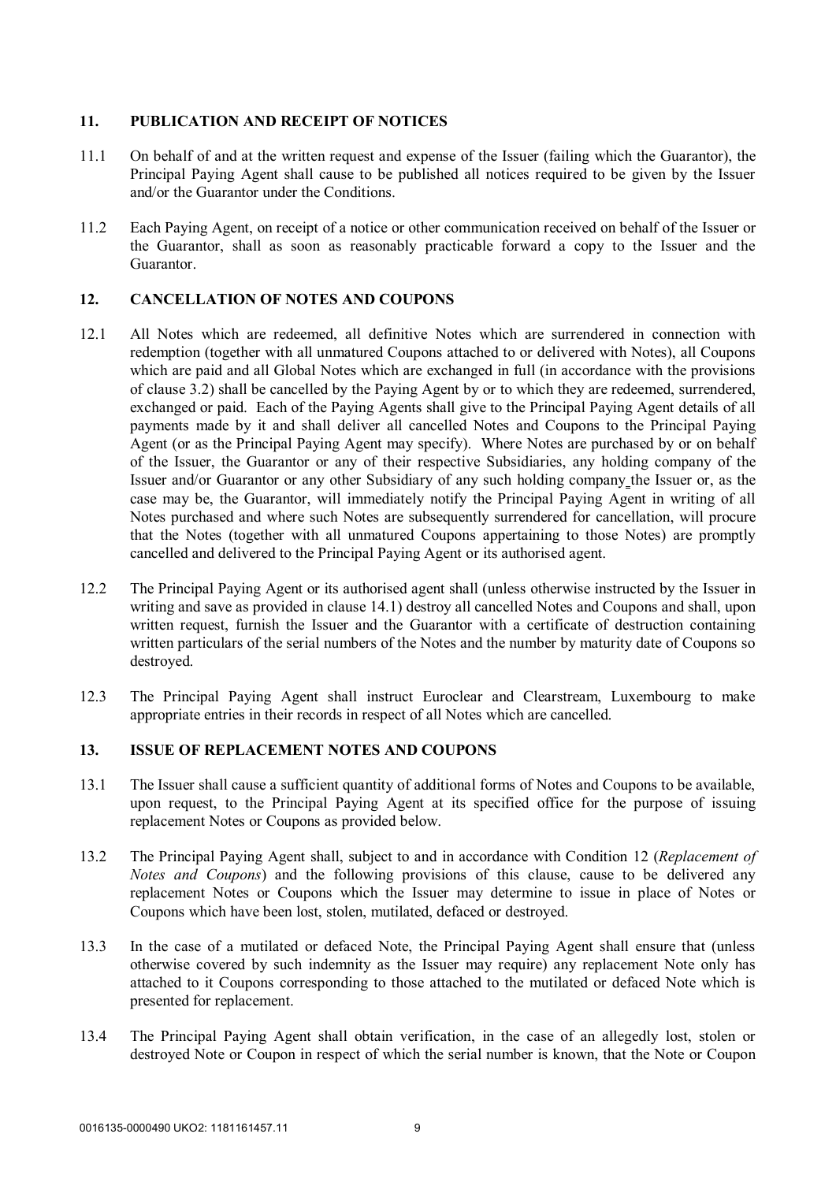# **11. PUBLICATION AND RECEIPT OF NOTICES**

- 11.1 On behalf of and at the written request and expense of the Issuer (failing which the Guarantor), the Principal Paying Agent shall cause to be published all notices required to be given by the Issuer and/or the Guarantor under the Conditions.
- 11.2 Each Paying Agent, on receipt of a notice or other communication received on behalf of the Issuer or the Guarantor, shall as soon as reasonably practicable forward a copy to the Issuer and the Guarantor.

# **12. CANCELLATION OF NOTES AND COUPONS**

- 12.1 All Notes which are redeemed, all definitive Notes which are surrendered in connection with redemption (together with all unmatured Coupons attached to or delivered with Notes), all Coupons which are paid and all Global Notes which are exchanged in full (in accordance with the provisions of clause 3.2) shall be cancelled by the Paying Agent by or to which they are redeemed, surrendered, exchanged or paid. Each of the Paying Agents shall give to the Principal Paying Agent details of all payments made by it and shall deliver all cancelled Notes and Coupons to the Principal Paying Agent (or as the Principal Paying Agent may specify). Where Notes are purchased by or on behalf of the Issuer, the Guarantor or any of their respective Subsidiaries, any holding company of the Issuer and/or Guarantor or any other Subsidiary of any such holding company the Issuer or, as the case may be, the Guarantor, will immediately notify the Principal Paying Agent in writing of all Notes purchased and where such Notes are subsequently surrendered for cancellation, will procure that the Notes (together with all unmatured Coupons appertaining to those Notes) are promptly cancelled and delivered to the Principal Paying Agent or its authorised agent.
- 12.2 The Principal Paying Agent or its authorised agent shall (unless otherwise instructed by the Issuer in writing and save as provided in clause 14.1) destroy all cancelled Notes and Coupons and shall, upon written request, furnish the Issuer and the Guarantor with a certificate of destruction containing written particulars of the serial numbers of the Notes and the number by maturity date of Coupons so destroyed.
- 12.3 The Principal Paying Agent shall instruct Euroclear and Clearstream, Luxembourg to make appropriate entries in their records in respect of all Notes which are cancelled.

#### **13. ISSUE OF REPLACEMENT NOTES AND COUPONS**

- 13.1 The Issuer shall cause a sufficient quantity of additional forms of Notes and Coupons to be available, upon request, to the Principal Paying Agent at its specified office for the purpose of issuing replacement Notes or Coupons as provided below.
- 13.2 The Principal Paying Agent shall, subject to and in accordance with Condition 12 (*Replacement of Notes and Coupons*) and the following provisions of this clause, cause to be delivered any replacement Notes or Coupons which the Issuer may determine to issue in place of Notes or Coupons which have been lost, stolen, mutilated, defaced or destroyed.
- 13.3 In the case of a mutilated or defaced Note, the Principal Paying Agent shall ensure that (unless otherwise covered by such indemnity as the Issuer may require) any replacement Note only has attached to it Coupons corresponding to those attached to the mutilated or defaced Note which is presented for replacement.
- 13.4 The Principal Paying Agent shall obtain verification, in the case of an allegedly lost, stolen or destroyed Note or Coupon in respect of which the serial number is known, that the Note or Coupon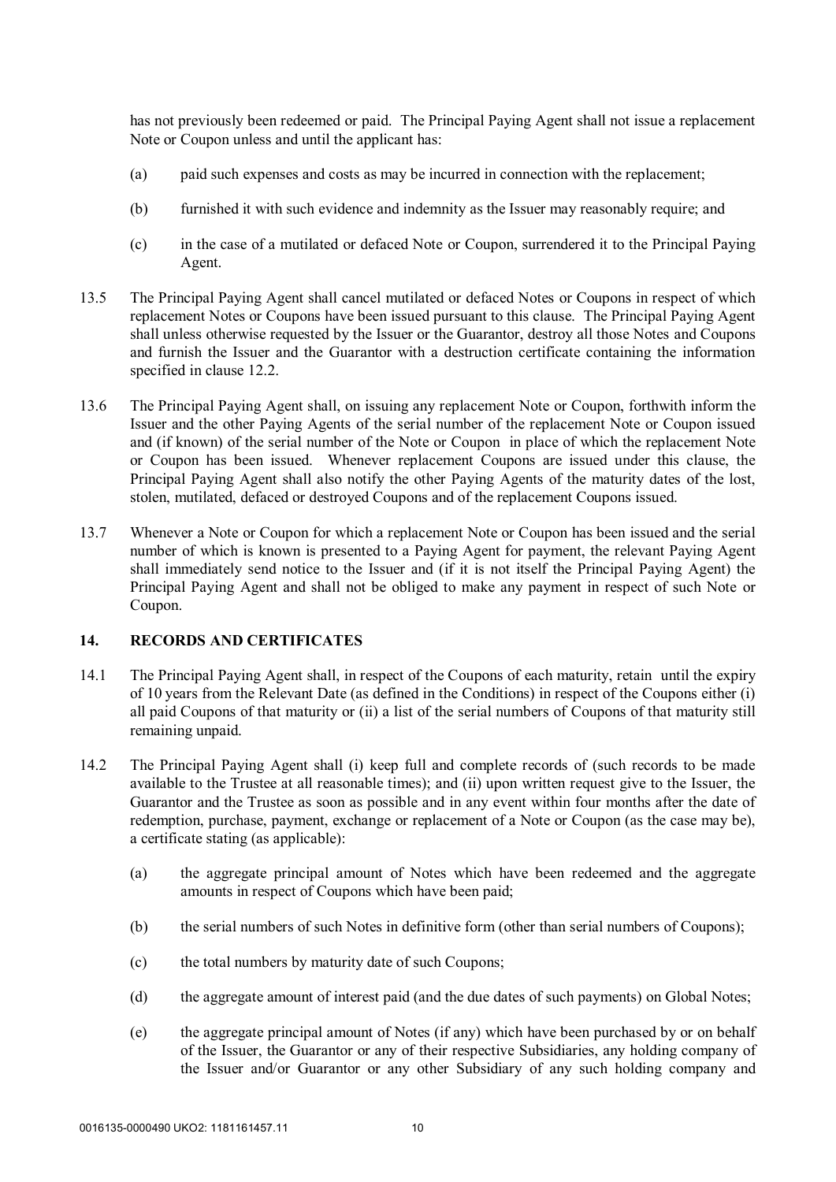has not previously been redeemed or paid. The Principal Paying Agent shall not issue a replacement Note or Coupon unless and until the applicant has:

- (a) paid such expenses and costs as may be incurred in connection with the replacement;
- (b) furnished it with such evidence and indemnity as the Issuer may reasonably require; and
- (c) in the case of a mutilated or defaced Note or Coupon, surrendered it to the Principal Paying Agent.
- 13.5 The Principal Paying Agent shall cancel mutilated or defaced Notes or Coupons in respect of which replacement Notes or Coupons have been issued pursuant to this clause. The Principal Paying Agent shall unless otherwise requested by the Issuer or the Guarantor, destroy all those Notes and Coupons and furnish the Issuer and the Guarantor with a destruction certificate containing the information specified in clause 12.2.
- 13.6 The Principal Paying Agent shall, on issuing any replacement Note or Coupon, forthwith inform the Issuer and the other Paying Agents of the serial number of the replacement Note or Coupon issued and (if known) of the serial number of the Note or Coupon in place of which the replacement Note or Coupon has been issued. Whenever replacement Coupons are issued under this clause, the Principal Paying Agent shall also notify the other Paying Agents of the maturity dates of the lost, stolen, mutilated, defaced or destroyed Coupons and of the replacement Coupons issued.
- 13.7 Whenever a Note or Coupon for which a replacement Note or Coupon has been issued and the serial number of which is known is presented to a Paying Agent for payment, the relevant Paying Agent shall immediately send notice to the Issuer and (if it is not itself the Principal Paying Agent) the Principal Paying Agent and shall not be obliged to make any payment in respect of such Note or Coupon.

# **14. RECORDS AND CERTIFICATES**

- 14.1 The Principal Paying Agent shall, in respect of the Coupons of each maturity, retain until the expiry of 10 years from the Relevant Date (as defined in the Conditions) in respect of the Coupons either (i) all paid Coupons of that maturity or (ii) a list of the serial numbers of Coupons of that maturity still remaining unpaid.
- 14.2 The Principal Paying Agent shall (i) keep full and complete records of (such records to be made available to the Trustee at all reasonable times); and (ii) upon written request give to the Issuer, the Guarantor and the Trustee as soon as possible and in any event within four months after the date of redemption, purchase, payment, exchange or replacement of a Note or Coupon (as the case may be), a certificate stating (as applicable):
	- (a) the aggregate principal amount of Notes which have been redeemed and the aggregate amounts in respect of Coupons which have been paid;
	- (b) the serial numbers of such Notes in definitive form (other than serial numbers of Coupons);
	- (c) the total numbers by maturity date of such Coupons;
	- (d) the aggregate amount of interest paid (and the due dates of such payments) on Global Notes;
	- (e) the aggregate principal amount of Notes (if any) which have been purchased by or on behalf of the Issuer, the Guarantor or any of their respective Subsidiaries, any holding company of the Issuer and/or Guarantor or any other Subsidiary of any such holding company and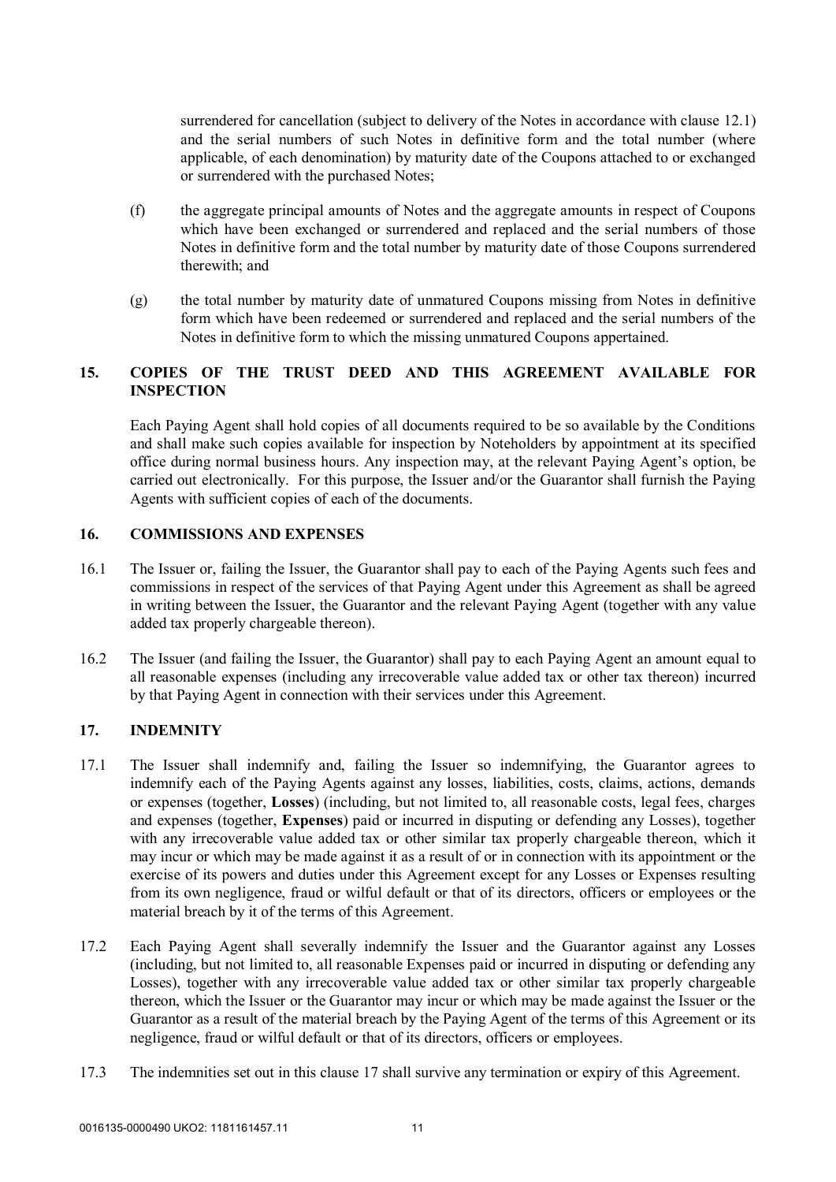surrendered for cancellation (subject to delivery of the Notes in accordance with clause 12.1) and the serial numbers of such Notes in definitive form and the total number (where applicable, of each denomination) by maturity date of the Coupons attached to or exchanged or surrendered with the purchased Notes;

- (f) the aggregate principal amounts of Notes and the aggregate amounts in respect of Coupons which have been exchanged or surrendered and replaced and the serial numbers of those Notes in definitive form and the total number by maturity date of those Coupons surrendered therewith; and
- (g) the total number by maturity date of unmatured Coupons missing from Notes in definitive form which have been redeemed or surrendered and replaced and the serial numbers of the Notes in definitive form to which the missing unmatured Coupons appertained.

# **15. COPIES OF THE TRUST DEED AND THIS AGREEMENT AVAILABLE FOR INSPECTION**

Each Paying Agent shall hold copies of all documents required to be so available by the Conditions and shall make such copies available for inspection by Noteholders by appointment at its specified office during normal business hours. Any inspection may, at the relevant Paying Agent's option, be carried out electronically. For this purpose, the Issuer and/or the Guarantor shall furnish the Paying Agents with sufficient copies of each of the documents.

# **16. COMMISSIONS AND EXPENSES**

- 16.1 The Issuer or, failing the Issuer, the Guarantor shall pay to each of the Paying Agents such fees and commissions in respect of the services of that Paying Agent under this Agreement as shall be agreed in writing between the Issuer, the Guarantor and the relevant Paying Agent (together with any value added tax properly chargeable thereon).
- 16.2 The Issuer (and failing the Issuer, the Guarantor) shall pay to each Paying Agent an amount equal to all reasonable expenses (including any irrecoverable value added tax or other tax thereon) incurred by that Paying Agent in connection with their services under this Agreement.

# **17. INDEMNITY**

- 17.1 The Issuer shall indemnify and, failing the Issuer so indemnifying, the Guarantor agrees to indemnify each of the Paying Agents against any losses, liabilities, costs, claims, actions, demands or expenses (together, **Losses**) (including, but not limited to, all reasonable costs, legal fees, charges and expenses (together, **Expenses**) paid or incurred in disputing or defending any Losses), together with any irrecoverable value added tax or other similar tax properly chargeable thereon, which it may incur or which may be made against it as a result of or in connection with its appointment or the exercise of its powers and duties under this Agreement except for any Losses or Expenses resulting from its own negligence, fraud or wilful default or that of its directors, officers or employees or the material breach by it of the terms of this Agreement.
- 17.2 Each Paying Agent shall severally indemnify the Issuer and the Guarantor against any Losses (including, but not limited to, all reasonable Expenses paid or incurred in disputing or defending any Losses), together with any irrecoverable value added tax or other similar tax properly chargeable thereon, which the Issuer or the Guarantor may incur or which may be made against the Issuer or the Guarantor as a result of the material breach by the Paying Agent of the terms of this Agreement or its negligence, fraud or wilful default or that of its directors, officers or employees.
- 17.3 The indemnities set out in this clause 17 shall survive any termination or expiry of this Agreement.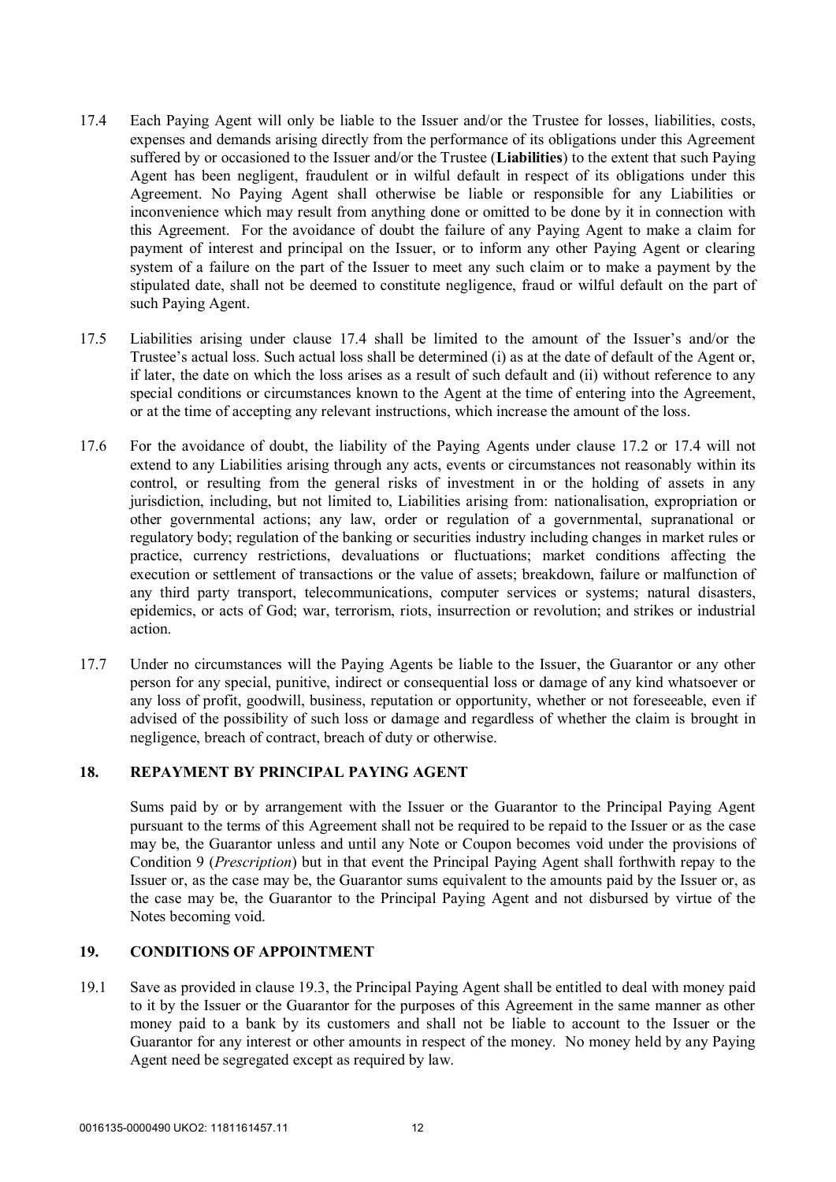- 17.4 Each Paying Agent will only be liable to the Issuer and/or the Trustee for losses, liabilities, costs, expenses and demands arising directly from the performance of its obligations under this Agreement suffered by or occasioned to the Issuer and/or the Trustee (**Liabilities**) to the extent that such Paying Agent has been negligent, fraudulent or in wilful default in respect of its obligations under this Agreement. No Paying Agent shall otherwise be liable or responsible for any Liabilities or inconvenience which may result from anything done or omitted to be done by it in connection with this Agreement. For the avoidance of doubt the failure of any Paying Agent to make a claim for payment of interest and principal on the Issuer, or to inform any other Paying Agent or clearing system of a failure on the part of the Issuer to meet any such claim or to make a payment by the stipulated date, shall not be deemed to constitute negligence, fraud or wilful default on the part of such Paying Agent.
- 17.5 Liabilities arising under clause 17.4 shall be limited to the amount of the Issuer's and/or the Trustee's actual loss. Such actual loss shall be determined (i) as at the date of default of the Agent or, if later, the date on which the loss arises as a result of such default and (ii) without reference to any special conditions or circumstances known to the Agent at the time of entering into the Agreement, or at the time of accepting any relevant instructions, which increase the amount of the loss.
- 17.6 For the avoidance of doubt, the liability of the Paying Agents under clause 17.2 or 17.4 will not extend to any Liabilities arising through any acts, events or circumstances not reasonably within its control, or resulting from the general risks of investment in or the holding of assets in any jurisdiction, including, but not limited to, Liabilities arising from: nationalisation, expropriation or other governmental actions; any law, order or regulation of a governmental, supranational or regulatory body; regulation of the banking or securities industry including changes in market rules or practice, currency restrictions, devaluations or fluctuations; market conditions affecting the execution or settlement of transactions or the value of assets; breakdown, failure or malfunction of any third party transport, telecommunications, computer services or systems; natural disasters, epidemics, or acts of God; war, terrorism, riots, insurrection or revolution; and strikes or industrial action.
- 17.7 Under no circumstances will the Paying Agents be liable to the Issuer, the Guarantor or any other person for any special, punitive, indirect or consequential loss or damage of any kind whatsoever or any loss of profit, goodwill, business, reputation or opportunity, whether or not foreseeable, even if advised of the possibility of such loss or damage and regardless of whether the claim is brought in negligence, breach of contract, breach of duty or otherwise.

#### **18. REPAYMENT BY PRINCIPAL PAYING AGENT**

Sums paid by or by arrangement with the Issuer or the Guarantor to the Principal Paying Agent pursuant to the terms of this Agreement shall not be required to be repaid to the Issuer or as the case may be, the Guarantor unless and until any Note or Coupon becomes void under the provisions of Condition 9 (*Prescription*) but in that event the Principal Paying Agent shall forthwith repay to the Issuer or, as the case may be, the Guarantor sums equivalent to the amounts paid by the Issuer or, as the case may be, the Guarantor to the Principal Paying Agent and not disbursed by virtue of the Notes becoming void.

#### **19. CONDITIONS OF APPOINTMENT**

19.1 Save as provided in clause 19.3, the Principal Paying Agent shall be entitled to deal with money paid to it by the Issuer or the Guarantor for the purposes of this Agreement in the same manner as other money paid to a bank by its customers and shall not be liable to account to the Issuer or the Guarantor for any interest or other amounts in respect of the money. No money held by any Paying Agent need be segregated except as required by law.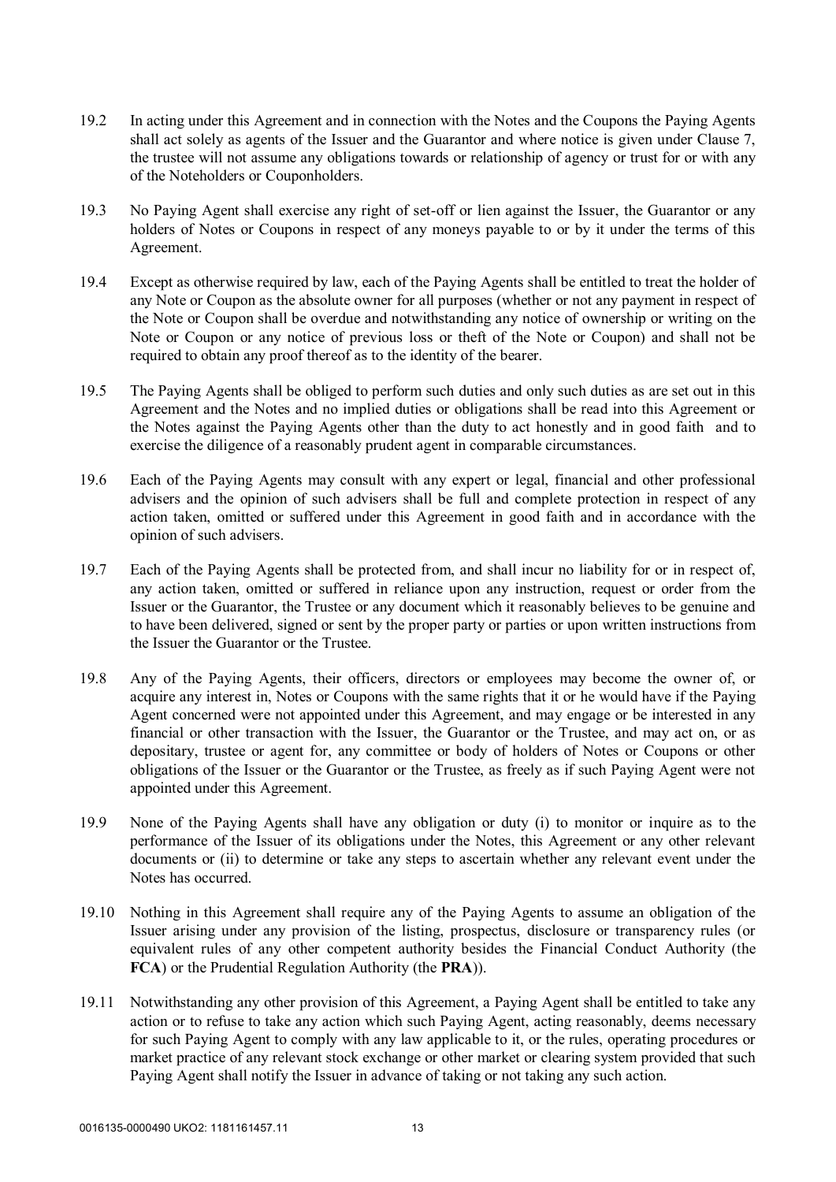- 19.2 In acting under this Agreement and in connection with the Notes and the Coupons the Paying Agents shall act solely as agents of the Issuer and the Guarantor and where notice is given under Clause 7, the trustee will not assume any obligations towards or relationship of agency or trust for or with any of the Noteholders or Couponholders.
- 19.3 No Paying Agent shall exercise any right of set-off or lien against the Issuer, the Guarantor or any holders of Notes or Coupons in respect of any moneys payable to or by it under the terms of this Agreement.
- 19.4 Except as otherwise required by law, each of the Paying Agents shall be entitled to treat the holder of any Note or Coupon as the absolute owner for all purposes (whether or not any payment in respect of the Note or Coupon shall be overdue and notwithstanding any notice of ownership or writing on the Note or Coupon or any notice of previous loss or theft of the Note or Coupon) and shall not be required to obtain any proof thereof as to the identity of the bearer.
- 19.5 The Paying Agents shall be obliged to perform such duties and only such duties as are set out in this Agreement and the Notes and no implied duties or obligations shall be read into this Agreement or the Notes against the Paying Agents other than the duty to act honestly and in good faith and to exercise the diligence of a reasonably prudent agent in comparable circumstances.
- 19.6 Each of the Paying Agents may consult with any expert or legal, financial and other professional advisers and the opinion of such advisers shall be full and complete protection in respect of any action taken, omitted or suffered under this Agreement in good faith and in accordance with the opinion of such advisers.
- 19.7 Each of the Paying Agents shall be protected from, and shall incur no liability for or in respect of, any action taken, omitted or suffered in reliance upon any instruction, request or order from the Issuer or the Guarantor, the Trustee or any document which it reasonably believes to be genuine and to have been delivered, signed or sent by the proper party or parties or upon written instructions from the Issuer the Guarantor or the Trustee.
- 19.8 Any of the Paying Agents, their officers, directors or employees may become the owner of, or acquire any interest in, Notes or Coupons with the same rights that it or he would have if the Paying Agent concerned were not appointed under this Agreement, and may engage or be interested in any financial or other transaction with the Issuer, the Guarantor or the Trustee, and may act on, or as depositary, trustee or agent for, any committee or body of holders of Notes or Coupons or other obligations of the Issuer or the Guarantor or the Trustee, as freely as if such Paying Agent were not appointed under this Agreement.
- 19.9 None of the Paying Agents shall have any obligation or duty (i) to monitor or inquire as to the performance of the Issuer of its obligations under the Notes, this Agreement or any other relevant documents or (ii) to determine or take any steps to ascertain whether any relevant event under the Notes has occurred.
- 19.10 Nothing in this Agreement shall require any of the Paying Agents to assume an obligation of the Issuer arising under any provision of the listing, prospectus, disclosure or transparency rules (or equivalent rules of any other competent authority besides the Financial Conduct Authority (the **FCA**) or the Prudential Regulation Authority (the **PRA**)).
- 19.11 Notwithstanding any other provision of this Agreement, a Paying Agent shall be entitled to take any action or to refuse to take any action which such Paying Agent, acting reasonably, deems necessary for such Paying Agent to comply with any law applicable to it, or the rules, operating procedures or market practice of any relevant stock exchange or other market or clearing system provided that such Paying Agent shall notify the Issuer in advance of taking or not taking any such action.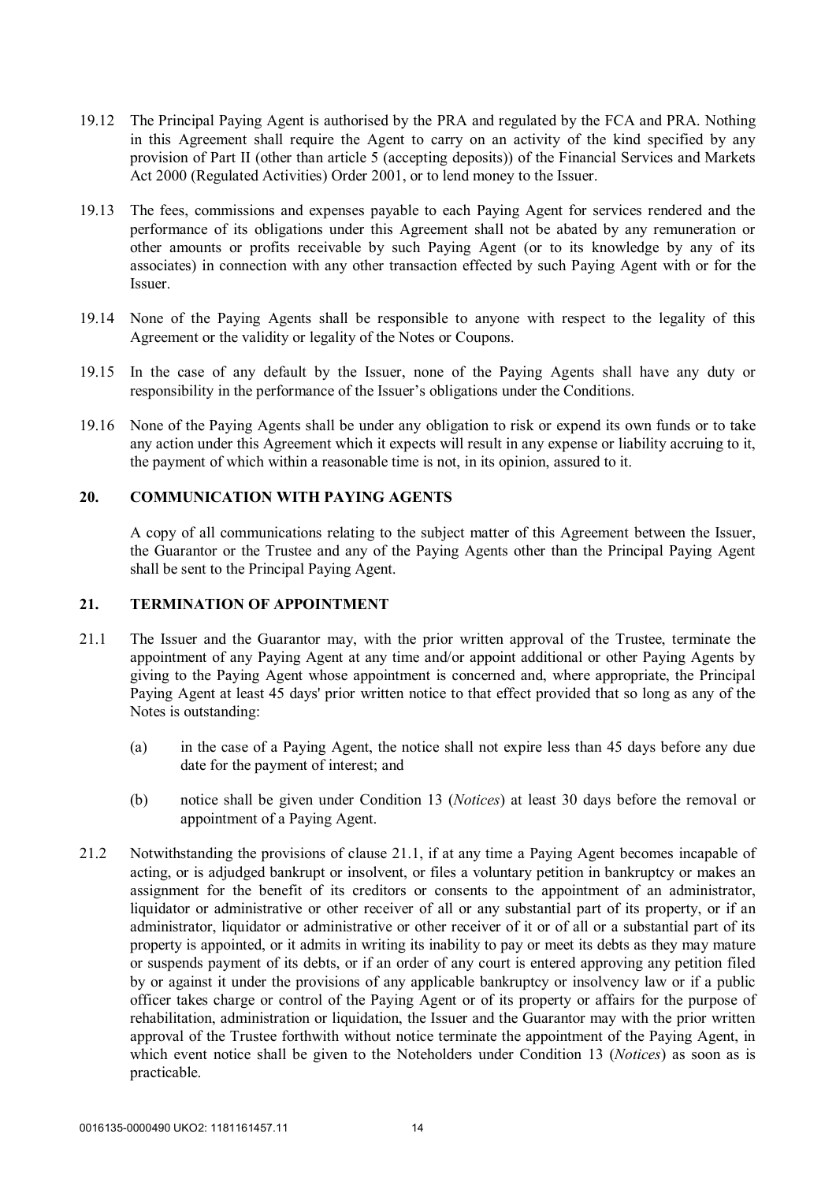- 19.12 The Principal Paying Agent is authorised by the PRA and regulated by the FCA and PRA. Nothing in this Agreement shall require the Agent to carry on an activity of the kind specified by any provision of Part II (other than article 5 (accepting deposits)) of the Financial Services and Markets Act 2000 (Regulated Activities) Order 2001, or to lend money to the Issuer.
- 19.13 The fees, commissions and expenses payable to each Paying Agent for services rendered and the performance of its obligations under this Agreement shall not be abated by any remuneration or other amounts or profits receivable by such Paying Agent (or to its knowledge by any of its associates) in connection with any other transaction effected by such Paying Agent with or for the Issuer.
- 19.14 None of the Paying Agents shall be responsible to anyone with respect to the legality of this Agreement or the validity or legality of the Notes or Coupons.
- 19.15 In the case of any default by the Issuer, none of the Paying Agents shall have any duty or responsibility in the performance of the Issuer's obligations under the Conditions.
- 19.16 None of the Paying Agents shall be under any obligation to risk or expend its own funds or to take any action under this Agreement which it expects will result in any expense or liability accruing to it, the payment of which within a reasonable time is not, in its opinion, assured to it.

#### **20. COMMUNICATION WITH PAYING AGENTS**

A copy of all communications relating to the subject matter of this Agreement between the Issuer, the Guarantor or the Trustee and any of the Paying Agents other than the Principal Paying Agent shall be sent to the Principal Paying Agent.

#### **21. TERMINATION OF APPOINTMENT**

- 21.1 The Issuer and the Guarantor may, with the prior written approval of the Trustee, terminate the appointment of any Paying Agent at any time and/or appoint additional or other Paying Agents by giving to the Paying Agent whose appointment is concerned and, where appropriate, the Principal Paying Agent at least 45 days' prior written notice to that effect provided that so long as any of the Notes is outstanding:
	- (a) in the case of a Paying Agent, the notice shall not expire less than 45 days before any due date for the payment of interest; and
	- (b) notice shall be given under Condition 13 (*Notices*) at least 30 days before the removal or appointment of a Paying Agent.
- 21.2 Notwithstanding the provisions of clause 21.1, if at any time a Paying Agent becomes incapable of acting, or is adjudged bankrupt or insolvent, or files a voluntary petition in bankruptcy or makes an assignment for the benefit of its creditors or consents to the appointment of an administrator, liquidator or administrative or other receiver of all or any substantial part of its property, or if an administrator, liquidator or administrative or other receiver of it or of all or a substantial part of its property is appointed, or it admits in writing its inability to pay or meet its debts as they may mature or suspends payment of its debts, or if an order of any court is entered approving any petition filed by or against it under the provisions of any applicable bankruptcy or insolvency law or if a public officer takes charge or control of the Paying Agent or of its property or affairs for the purpose of rehabilitation, administration or liquidation, the Issuer and the Guarantor may with the prior written approval of the Trustee forthwith without notice terminate the appointment of the Paying Agent, in which event notice shall be given to the Noteholders under Condition 13 (*Notices*) as soon as is practicable.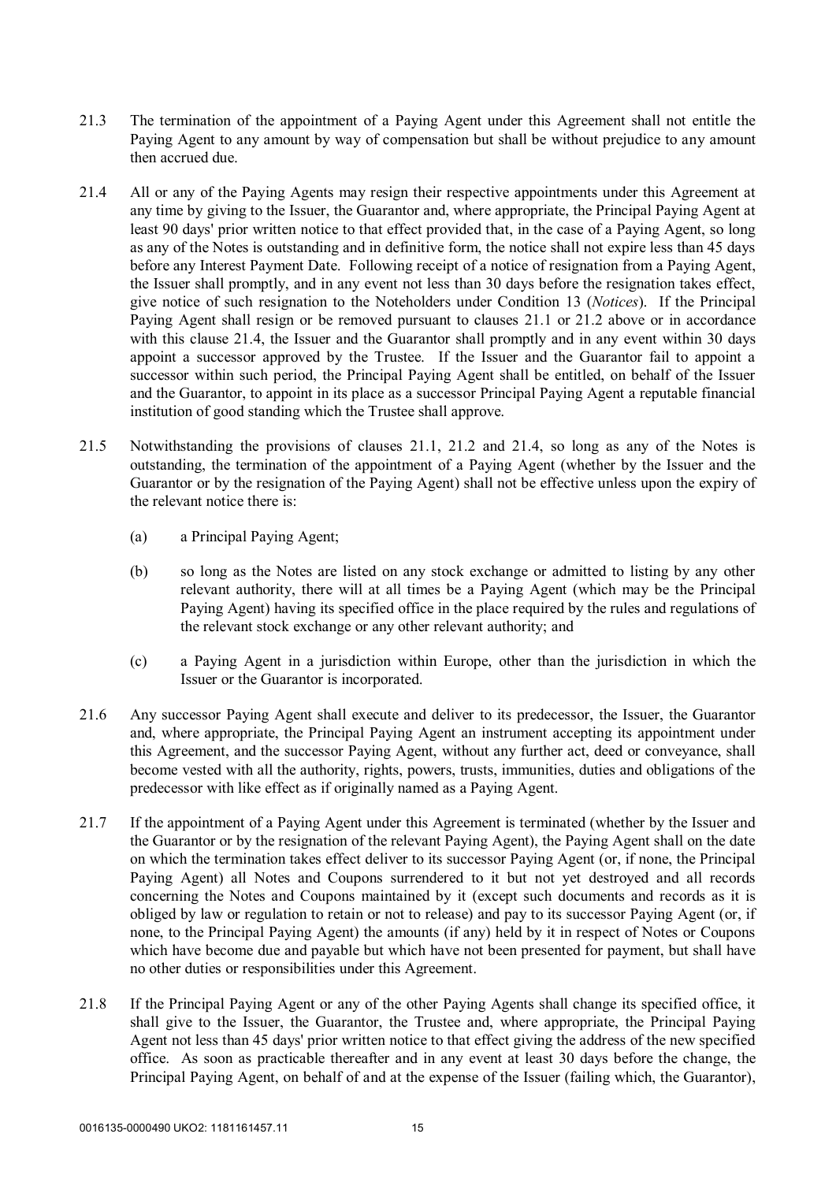- 21.3 The termination of the appointment of a Paying Agent under this Agreement shall not entitle the Paying Agent to any amount by way of compensation but shall be without prejudice to any amount then accrued due.
- 21.4 All or any of the Paying Agents may resign their respective appointments under this Agreement at any time by giving to the Issuer, the Guarantor and, where appropriate, the Principal Paying Agent at least 90 days' prior written notice to that effect provided that, in the case of a Paying Agent, so long as any of the Notes is outstanding and in definitive form, the notice shall not expire less than 45 days before any Interest Payment Date. Following receipt of a notice of resignation from a Paying Agent, the Issuer shall promptly, and in any event not less than 30 days before the resignation takes effect, give notice of such resignation to the Noteholders under Condition 13 (*Notices*). If the Principal Paying Agent shall resign or be removed pursuant to clauses 21.1 or 21.2 above or in accordance with this clause 21.4, the Issuer and the Guarantor shall promptly and in any event within 30 days appoint a successor approved by the Trustee. If the Issuer and the Guarantor fail to appoint a successor within such period, the Principal Paying Agent shall be entitled, on behalf of the Issuer and the Guarantor, to appoint in its place as a successor Principal Paying Agent a reputable financial institution of good standing which the Trustee shall approve.
- 21.5 Notwithstanding the provisions of clauses 21.1, 21.2 and 21.4, so long as any of the Notes is outstanding, the termination of the appointment of a Paying Agent (whether by the Issuer and the Guarantor or by the resignation of the Paying Agent) shall not be effective unless upon the expiry of the relevant notice there is:
	- (a) a Principal Paying Agent;
	- (b) so long as the Notes are listed on any stock exchange or admitted to listing by any other relevant authority, there will at all times be a Paying Agent (which may be the Principal Paying Agent) having its specified office in the place required by the rules and regulations of the relevant stock exchange or any other relevant authority; and
	- (c) a Paying Agent in a jurisdiction within Europe, other than the jurisdiction in which the Issuer or the Guarantor is incorporated.
- 21.6 Any successor Paying Agent shall execute and deliver to its predecessor, the Issuer, the Guarantor and, where appropriate, the Principal Paying Agent an instrument accepting its appointment under this Agreement, and the successor Paying Agent, without any further act, deed or conveyance, shall become vested with all the authority, rights, powers, trusts, immunities, duties and obligations of the predecessor with like effect as if originally named as a Paying Agent.
- 21.7 If the appointment of a Paying Agent under this Agreement is terminated (whether by the Issuer and the Guarantor or by the resignation of the relevant Paying Agent), the Paying Agent shall on the date on which the termination takes effect deliver to its successor Paying Agent (or, if none, the Principal Paying Agent) all Notes and Coupons surrendered to it but not yet destroyed and all records concerning the Notes and Coupons maintained by it (except such documents and records as it is obliged by law or regulation to retain or not to release) and pay to its successor Paying Agent (or, if none, to the Principal Paying Agent) the amounts (if any) held by it in respect of Notes or Coupons which have become due and payable but which have not been presented for payment, but shall have no other duties or responsibilities under this Agreement.
- 21.8 If the Principal Paying Agent or any of the other Paying Agents shall change its specified office, it shall give to the Issuer, the Guarantor, the Trustee and, where appropriate, the Principal Paying Agent not less than 45 days' prior written notice to that effect giving the address of the new specified office. As soon as practicable thereafter and in any event at least 30 days before the change, the Principal Paying Agent, on behalf of and at the expense of the Issuer (failing which, the Guarantor),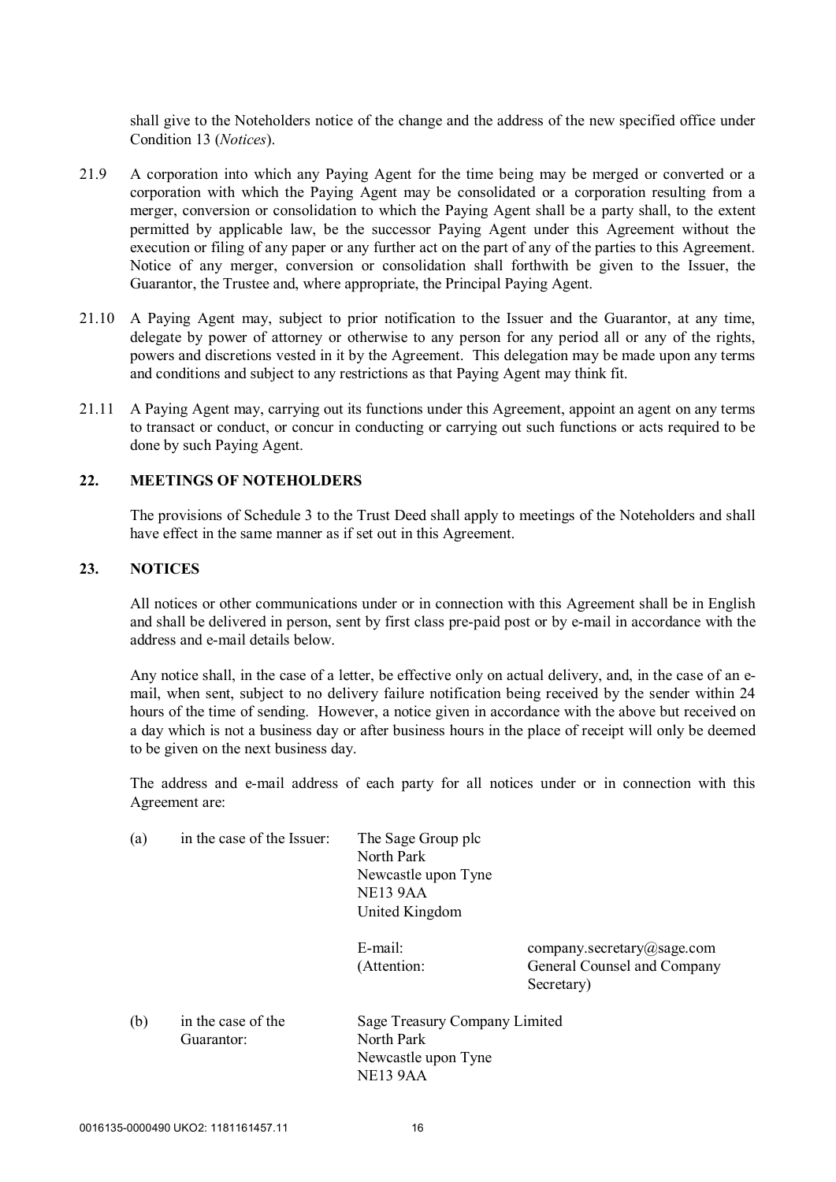shall give to the Noteholders notice of the change and the address of the new specified office under Condition 13 (*Notices*).

- 21.9 A corporation into which any Paying Agent for the time being may be merged or converted or a corporation with which the Paying Agent may be consolidated or a corporation resulting from a merger, conversion or consolidation to which the Paying Agent shall be a party shall, to the extent permitted by applicable law, be the successor Paying Agent under this Agreement without the execution or filing of any paper or any further act on the part of any of the parties to this Agreement. Notice of any merger, conversion or consolidation shall forthwith be given to the Issuer, the Guarantor, the Trustee and, where appropriate, the Principal Paying Agent.
- 21.10 A Paying Agent may, subject to prior notification to the Issuer and the Guarantor, at any time, delegate by power of attorney or otherwise to any person for any period all or any of the rights, powers and discretions vested in it by the Agreement. This delegation may be made upon any terms and conditions and subject to any restrictions as that Paying Agent may think fit.
- 21.11 A Paying Agent may, carrying out its functions under this Agreement, appoint an agent on any terms to transact or conduct, or concur in conducting or carrying out such functions or acts required to be done by such Paying Agent.

# **22. MEETINGS OF NOTEHOLDERS**

The provisions of Schedule 3 to the Trust Deed shall apply to meetings of the Noteholders and shall have effect in the same manner as if set out in this Agreement.

#### **23. NOTICES**

All notices or other communications under or in connection with this Agreement shall be in English and shall be delivered in person, sent by first class pre-paid post or by e-mail in accordance with the address and e-mail details below.

Any notice shall, in the case of a letter, be effective only on actual delivery, and, in the case of an email, when sent, subject to no delivery failure notification being received by the sender within 24 hours of the time of sending. However, a notice given in accordance with the above but received on a day which is not a business day or after business hours in the place of receipt will only be deemed to be given on the next business day.

The address and e-mail address of each party for all notices under or in connection with this Agreement are:

| (a) | in the case of the Issuer:       | The Sage Group plc<br>North Park<br>Newcastle upon Tyne<br>NE <sub>13</sub> 9AA<br>United Kingdom |                                                                         |
|-----|----------------------------------|---------------------------------------------------------------------------------------------------|-------------------------------------------------------------------------|
|     |                                  | $E$ -mail:<br>(Attention:                                                                         | company.secretary@sage.com<br>General Counsel and Company<br>Secretary) |
| (b) | in the case of the<br>Guarantor: | Sage Treasury Company Limited<br>North Park<br>Newcastle upon Tyne<br>NE13 9AA                    |                                                                         |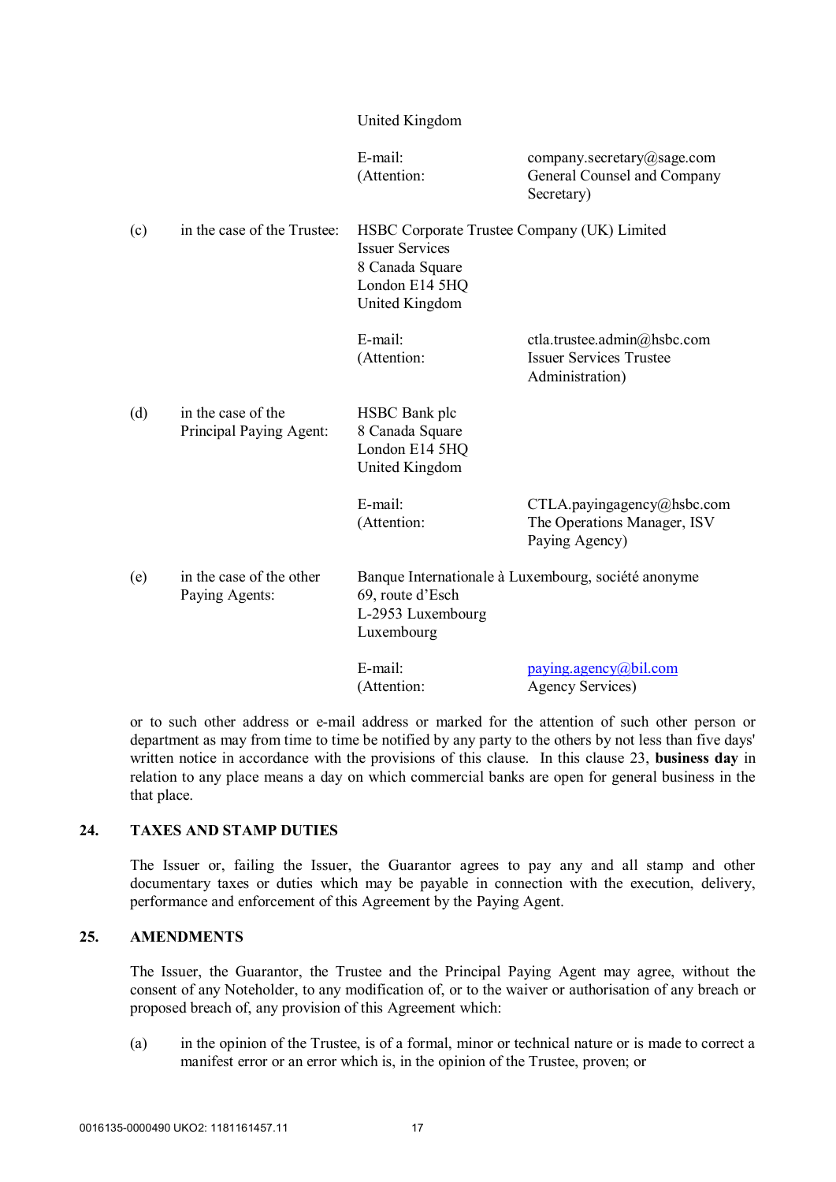|     |                                               | United Kingdom                                                                                                               |                                                                                  |
|-----|-----------------------------------------------|------------------------------------------------------------------------------------------------------------------------------|----------------------------------------------------------------------------------|
|     |                                               | E-mail:<br>(Attention:                                                                                                       | company.secretary@sage.com<br>General Counsel and Company<br>Secretary)          |
| (c) | in the case of the Trustee:                   | HSBC Corporate Trustee Company (UK) Limited<br><b>Issuer Services</b><br>8 Canada Square<br>London E14 5HQ<br>United Kingdom |                                                                                  |
|     |                                               | E-mail:<br>(Attention:                                                                                                       | ctla.trustee.admin@hsbc.com<br><b>Issuer Services Trustee</b><br>Administration) |
| (d) | in the case of the<br>Principal Paying Agent: | <b>HSBC</b> Bank plc<br>8 Canada Square<br>London E14 5HQ<br>United Kingdom                                                  |                                                                                  |
|     |                                               | E-mail:<br>(Attention:                                                                                                       | CTLA.payingagency@hsbc.com<br>The Operations Manager, ISV<br>Paying Agency)      |
| (e) | in the case of the other<br>Paying Agents:    | Banque Internationale à Luxembourg, société anonyme<br>69, route d'Esch<br>L-2953 Luxembourg<br>Luxembourg                   |                                                                                  |
|     |                                               | E-mail:<br>(Attention:                                                                                                       | paying agency@bil.com<br><b>Agency Services</b> )                                |

or to such other address or e-mail address or marked for the attention of such other person or department as may from time to time be notified by any party to the others by not less than five days' written notice in accordance with the provisions of this clause. In this clause 23, **business day** in relation to any place means a day on which commercial banks are open for general business in the that place.

#### **24. TAXES AND STAMP DUTIES**

The Issuer or, failing the Issuer, the Guarantor agrees to pay any and all stamp and other documentary taxes or duties which may be payable in connection with the execution, delivery, performance and enforcement of this Agreement by the Paying Agent.

# **25. AMENDMENTS**

The Issuer, the Guarantor, the Trustee and the Principal Paying Agent may agree, without the consent of any Noteholder, to any modification of, or to the waiver or authorisation of any breach or proposed breach of, any provision of this Agreement which:

(a) in the opinion of the Trustee, is of a formal, minor or technical nature or is made to correct a manifest error or an error which is, in the opinion of the Trustee, proven; or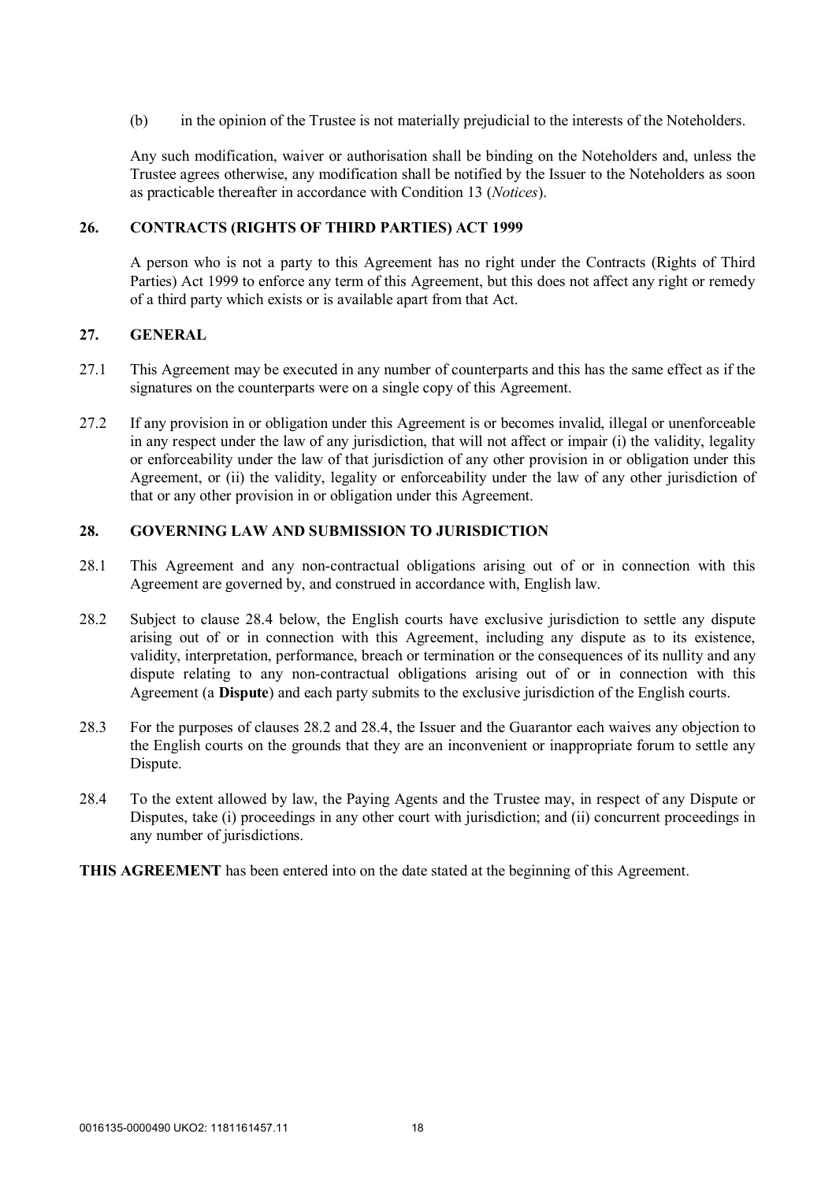(b) in the opinion of the Trustee is not materially prejudicial to the interests of the Noteholders.

Any such modification, waiver or authorisation shall be binding on the Noteholders and, unless the Trustee agrees otherwise, any modification shall be notified by the Issuer to the Noteholders as soon as practicable thereafter in accordance with Condition 13 (*Notices*).

#### **26. CONTRACTS (RIGHTS OF THIRD PARTIES) ACT 1999**

A person who is not a party to this Agreement has no right under the Contracts (Rights of Third Parties) Act 1999 to enforce any term of this Agreement, but this does not affect any right or remedy of a third party which exists or is available apart from that Act.

# **27. GENERAL**

- 27.1 This Agreement may be executed in any number of counterparts and this has the same effect as if the signatures on the counterparts were on a single copy of this Agreement.
- 27.2 If any provision in or obligation under this Agreement is or becomes invalid, illegal or unenforceable in any respect under the law of any jurisdiction, that will not affect or impair (i) the validity, legality or enforceability under the law of that jurisdiction of any other provision in or obligation under this Agreement, or (ii) the validity, legality or enforceability under the law of any other jurisdiction of that or any other provision in or obligation under this Agreement.

# **28. GOVERNING LAW AND SUBMISSION TO JURISDICTION**

- 28.1 This Agreement and any non-contractual obligations arising out of or in connection with this Agreement are governed by, and construed in accordance with, English law.
- 28.2 Subject to clause 28.4 below, the English courts have exclusive jurisdiction to settle any dispute arising out of or in connection with this Agreement, including any dispute as to its existence, validity, interpretation, performance, breach or termination or the consequences of its nullity and any dispute relating to any non-contractual obligations arising out of or in connection with this Agreement (a **Dispute**) and each party submits to the exclusive jurisdiction of the English courts.
- 28.3 For the purposes of clauses 28.2 and 28.4, the Issuer and the Guarantor each waives any objection to the English courts on the grounds that they are an inconvenient or inappropriate forum to settle any Dispute.
- 28.4 To the extent allowed by law, the Paying Agents and the Trustee may, in respect of any Dispute or Disputes, take (i) proceedings in any other court with jurisdiction; and (ii) concurrent proceedings in any number of jurisdictions.
- **THIS AGREEMENT** has been entered into on the date stated at the beginning of this Agreement.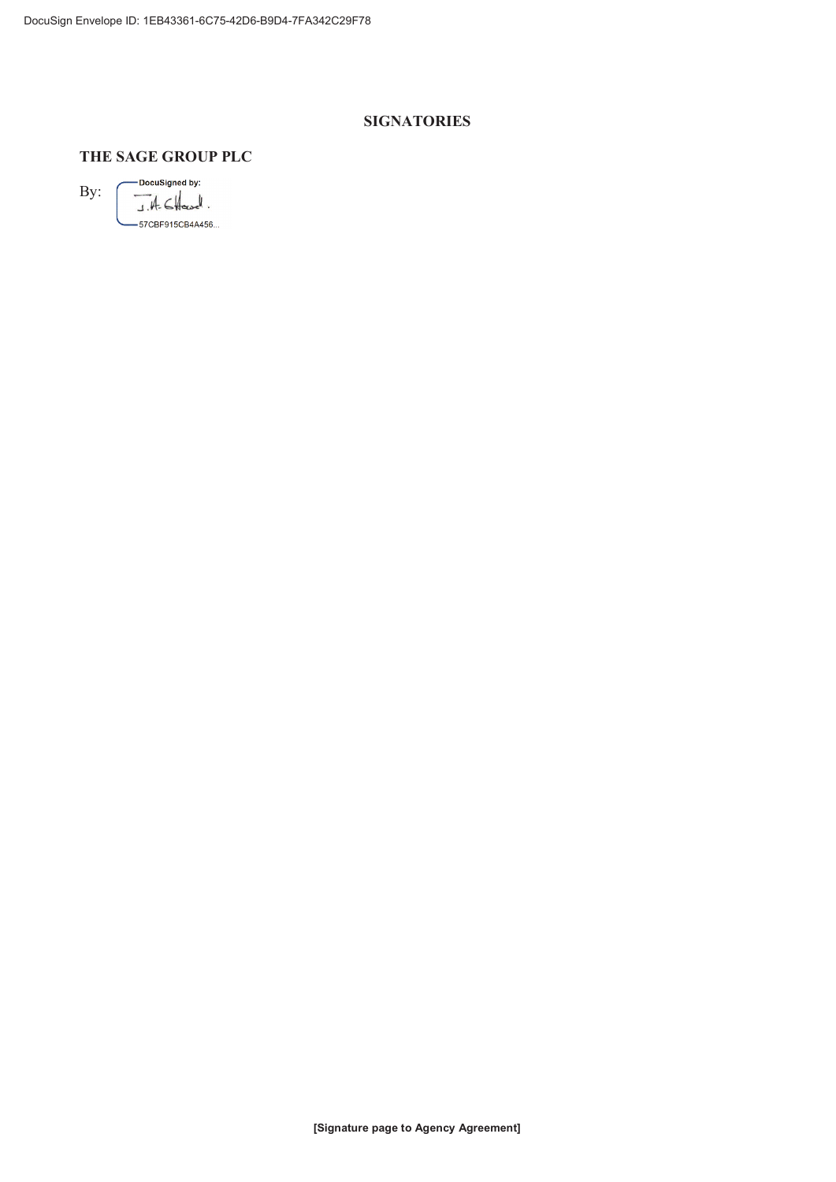# **SIGNATORIES**

# THE SAGE GROUP PLC

— DocuSigned by:  $By:$  $A - B$ -57CBF915CB4A456...

[Signature page to Agency Agreement]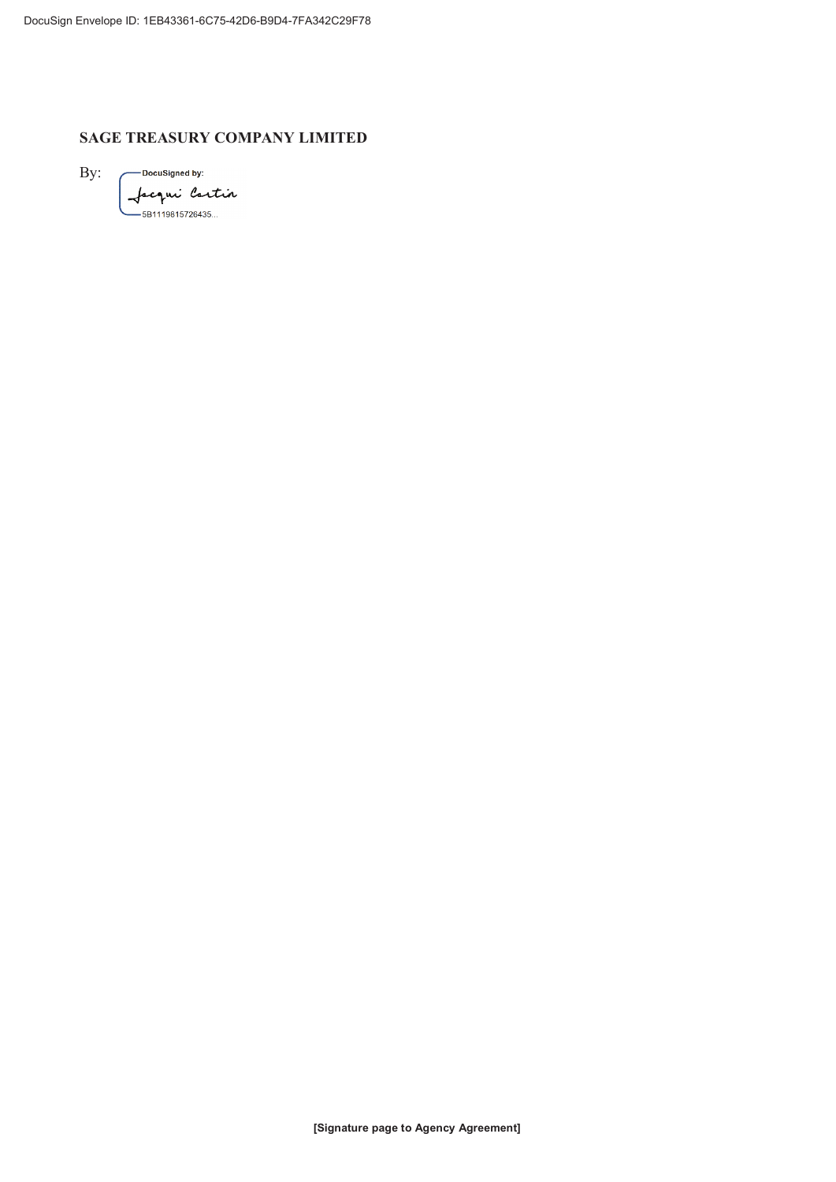# **SAGE TREASURY COMPANY LIMITED**

By:

- DocuSigned by: Jacqui Cartin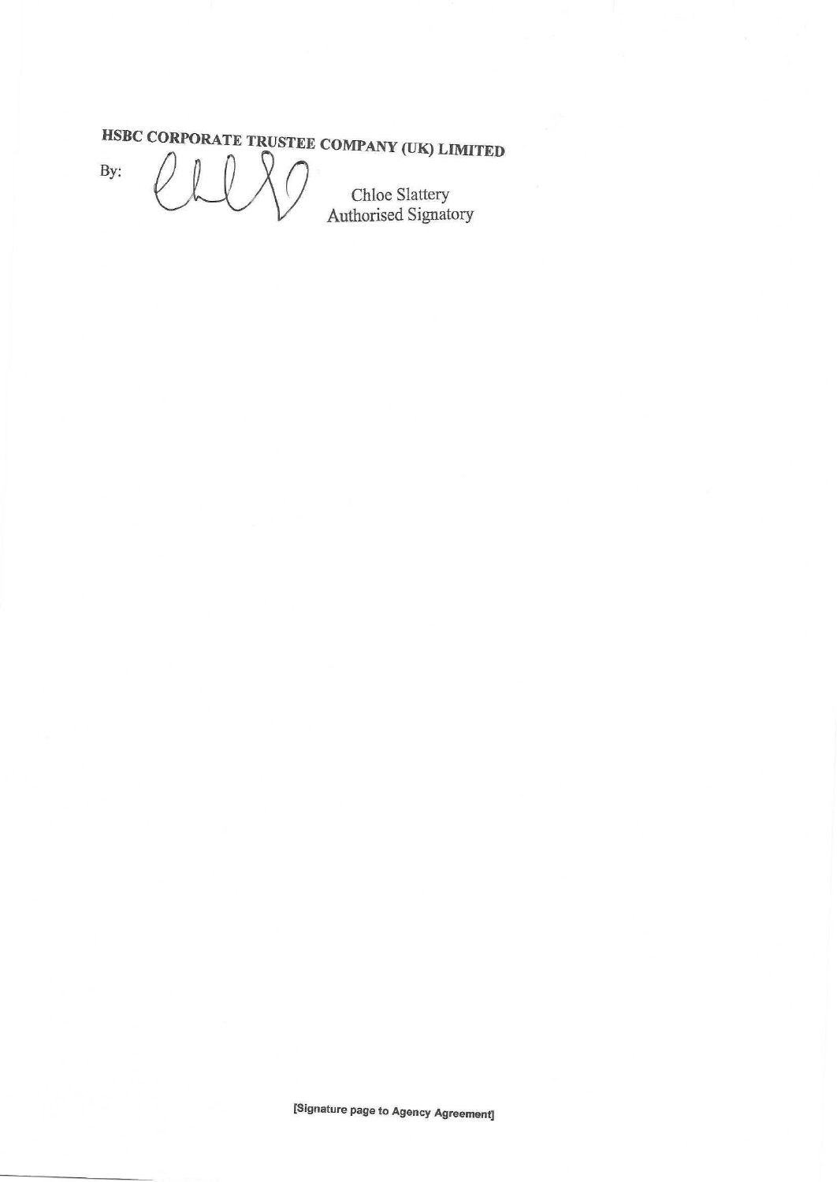# HSBC CORPORATE TRUSTEE COMPANY (UK) LIMITED

By:

LAO Chloe Slattery<br>Authorised Signatory  $\emptyset$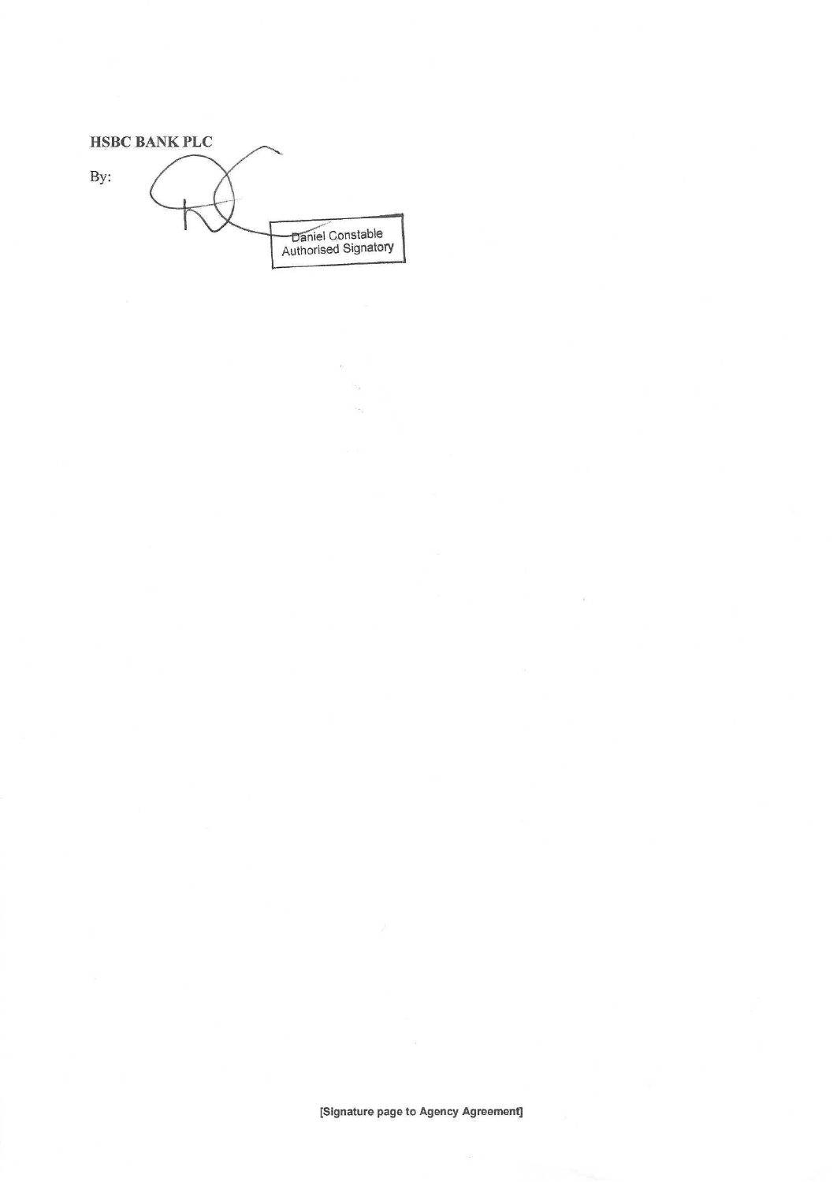**HSBC BANK PLC** By: Daniel Constable<br>Authorised Signatory

 $\bar{N}$  $\mathbb{H}^q$ 

 $\widetilde{\Sigma}$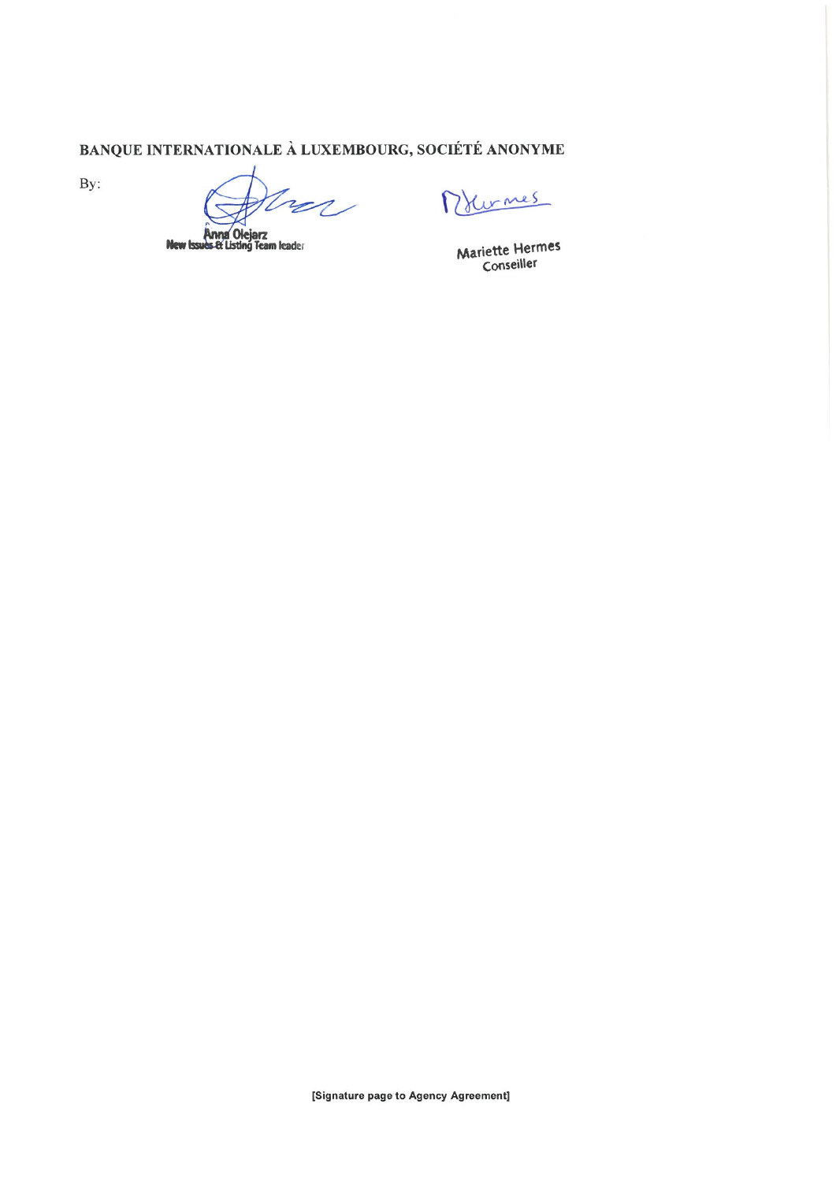BANQUE INTERNATIONALE À LUXEMBOURG, SOCIÉTÉ ANONYME

By:

 $\sim$ 

**Anna Olejarz<br>es & Listing Team leader New Issi** 

Drumes

Mariette Hermes Conseiller

[Signature page to Agency Agreement]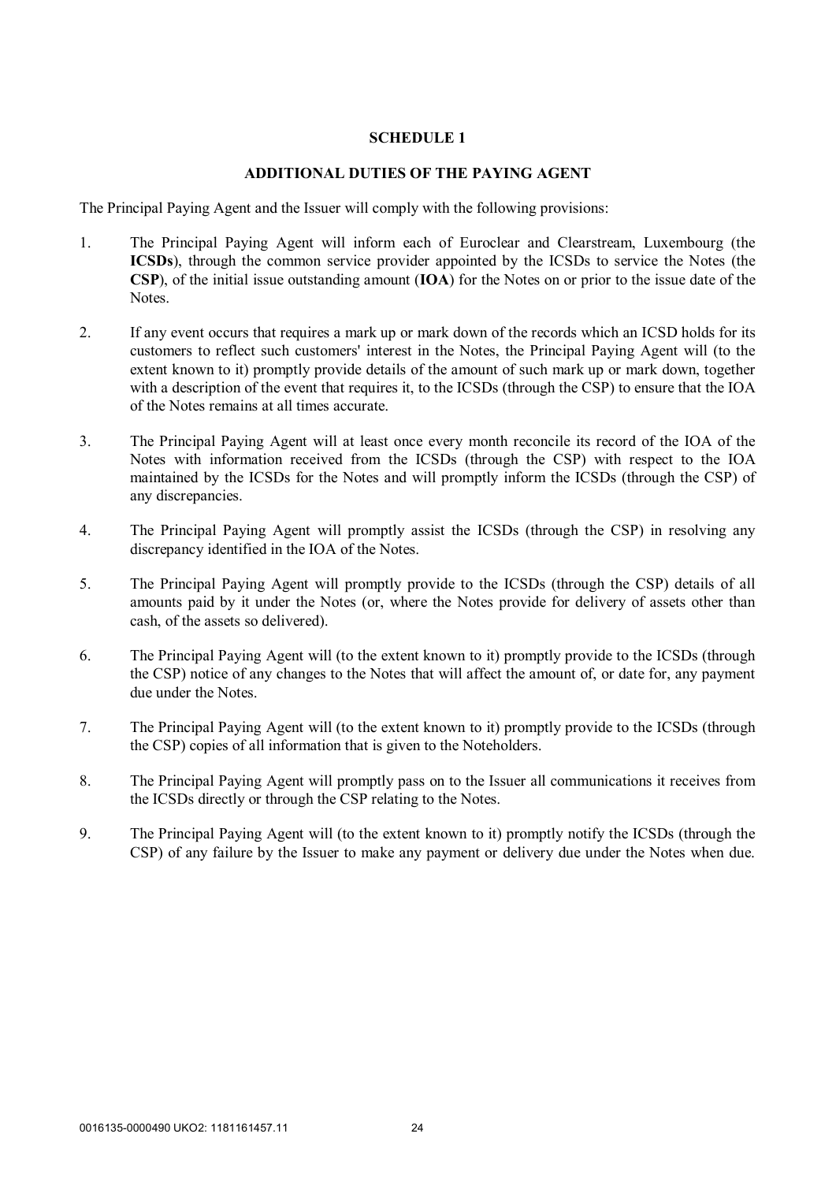#### **SCHEDULE 1**

#### **ADDITIONAL DUTIES OF THE PAYING AGENT**

The Principal Paying Agent and the Issuer will comply with the following provisions:

- 1. The Principal Paying Agent will inform each of Euroclear and Clearstream, Luxembourg (the **ICSDs**), through the common service provider appointed by the ICSDs to service the Notes (the **CSP**), of the initial issue outstanding amount (**IOA**) for the Notes on or prior to the issue date of the Notes.
- 2. If any event occurs that requires a mark up or mark down of the records which an ICSD holds for its customers to reflect such customers' interest in the Notes, the Principal Paying Agent will (to the extent known to it) promptly provide details of the amount of such mark up or mark down, together with a description of the event that requires it, to the ICSDs (through the CSP) to ensure that the IOA of the Notes remains at all times accurate.
- 3. The Principal Paying Agent will at least once every month reconcile its record of the IOA of the Notes with information received from the ICSDs (through the CSP) with respect to the IOA maintained by the ICSDs for the Notes and will promptly inform the ICSDs (through the CSP) of any discrepancies.
- 4. The Principal Paying Agent will promptly assist the ICSDs (through the CSP) in resolving any discrepancy identified in the IOA of the Notes.
- 5. The Principal Paying Agent will promptly provide to the ICSDs (through the CSP) details of all amounts paid by it under the Notes (or, where the Notes provide for delivery of assets other than cash, of the assets so delivered).
- 6. The Principal Paying Agent will (to the extent known to it) promptly provide to the ICSDs (through the CSP) notice of any changes to the Notes that will affect the amount of, or date for, any payment due under the Notes.
- 7. The Principal Paying Agent will (to the extent known to it) promptly provide to the ICSDs (through the CSP) copies of all information that is given to the Noteholders.
- 8. The Principal Paying Agent will promptly pass on to the Issuer all communications it receives from the ICSDs directly or through the CSP relating to the Notes.
- 9. The Principal Paying Agent will (to the extent known to it) promptly notify the ICSDs (through the CSP) of any failure by the Issuer to make any payment or delivery due under the Notes when due.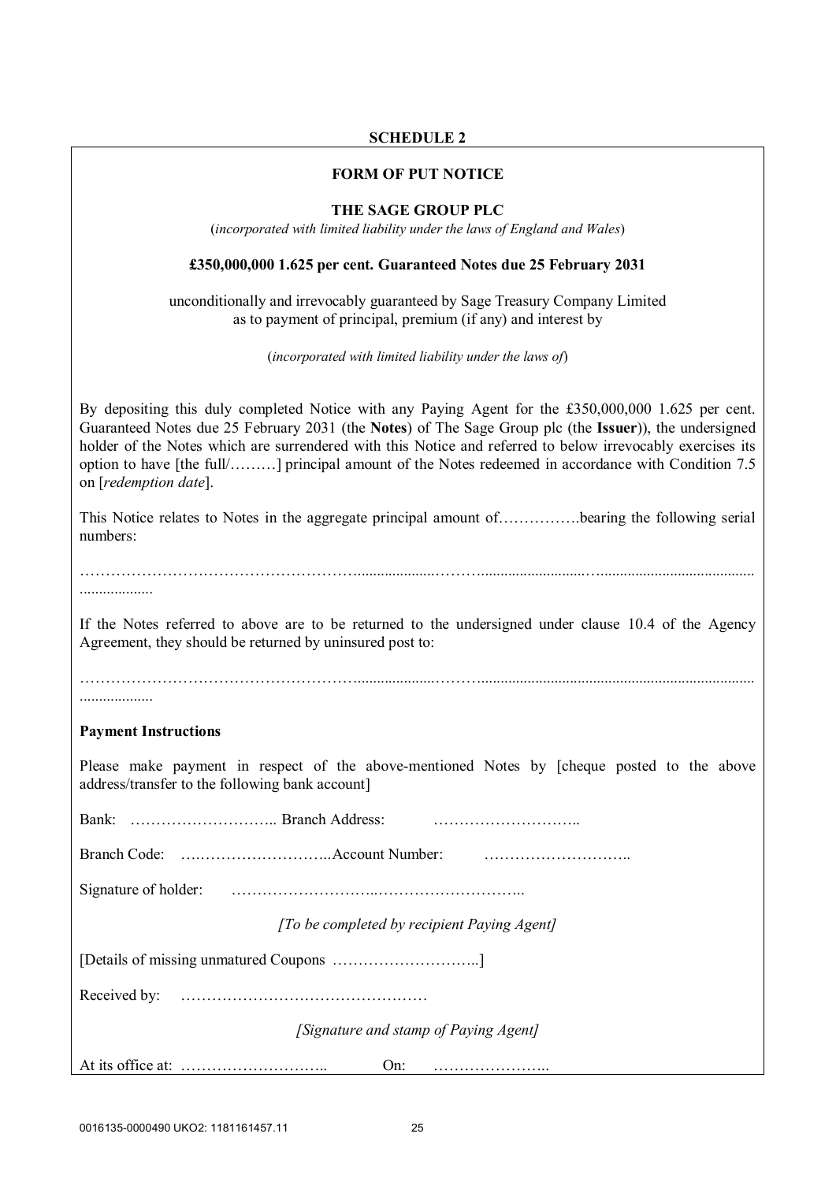# **SCHEDULE 2**

#### **FORM OF PUT NOTICE**

#### **THE SAGE GROUP PLC**

(*incorporated with limited liability under the laws of England and Wales*)

#### **£350,000,000 1.625 per cent. Guaranteed Notes due 25 February 2031**

unconditionally and irrevocably guaranteed by Sage Treasury Company Limited as to payment of principal, premium (if any) and interest by

(*incorporated with limited liability under the laws of*)

By depositing this duly completed Notice with any Paying Agent for the £350,000,000 1.625 per cent. Guaranteed Notes due 25 February 2031 (the **Notes**) of The Sage Group plc (the **Issuer**)), the undersigned holder of the Notes which are surrendered with this Notice and referred to below irrevocably exercises its option to have [the full/………] principal amount of the Notes redeemed in accordance with Condition 7.5 on [*redemption date*].

This Notice relates to Notes in the aggregate principal amount of…………….bearing the following serial numbers:

………………………………………………....................………...........................…........................................ ...................

If the Notes referred to above are to be returned to the undersigned under clause 10.4 of the Agency Agreement, they should be returned by uninsured post to:

………………………………………………....................………....................................................................... ...................

#### **Payment Instructions**

Please make payment in respect of the above-mentioned Notes by [cheque posted to the above address/transfer to the following bank account]

| [To be completed by recipient Paying Agent] |  |  |  |
|---------------------------------------------|--|--|--|

[Details of missing unmatured Coupons ………………………..]

Received by: …………………………………………

*[Signature and stamp of Paying Agent]*

At its office at: ……………………….. On: …………………..